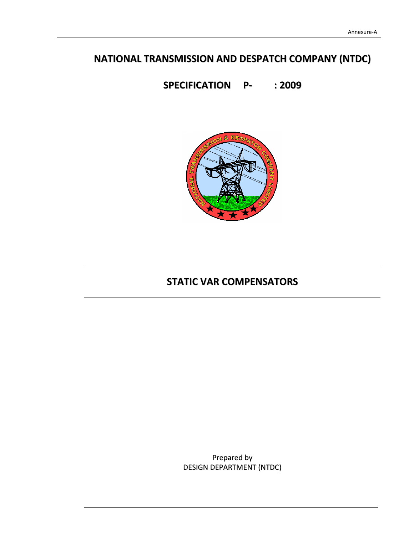# **NATIONAL TRANSMISSION AND DESPATCH COMPANY (NTDC)**

**SPECIFICATION P‐ : 2009**



# **STATIC VAR COMPENSATORS**

Prepared by DESIGN DEPARTMENT (NTDC)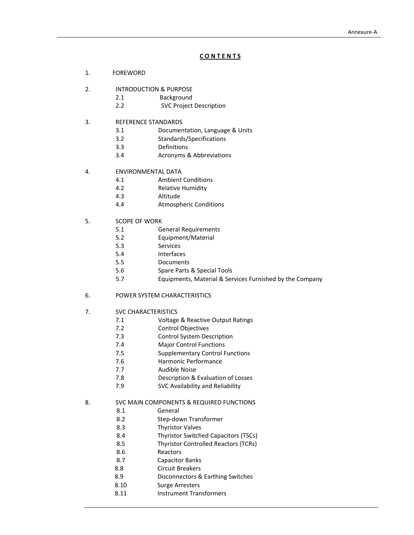# **C O N T E N T S**

- 1. FOREWORD
- 2. INTRODUCTION & PURPOSE
	- 2.1 **Background**
	- 2.2 SVC Project Description
- 3. REFERENCE STANDARDS
	- 3.1 Documentation, Language & Units
	- 3.2 Standards/Specifications
	- 3.3 Definitions
	- 3.4 Acronyms & Abbreviations

# 4. ENVIRONMENTAL DATA

- 4.1 Ambient Conditions
- 4.2 Relative Humidity
- 4.3 Altitude
- 4.4 Atmospheric Conditions
- 5. SCOPE OF WORK
	- 5.1 General Requirements
	- 5.2 Equipment/Material
	- 5.3 Services
	- 5.4 Interfaces
	- 5.5 Documents
	- 5.6 Spare Parts & Special Tools
	- 5.7 Equipments, Material & Services Furnished by the Company
- 6. POWER SYSTEM CHARACTERISTICS
- 7. SVC CHARACTERISTICS
	- 7.1 Voltage & Reactive Output Ratings
	- 7.2 Control Objectives
	- 7.3 Control System Description
	- 7.4 **Major Control Functions**
	- 7.5 Supplementary Control Functions
		- 7.6 Harmonic Performance
	- 7.7 Audible Noise
	- 7.8 Description & Evaluation of Losses
	- 7.9 SVC Availability and Reliability
- 8. SVC MAIN COMPONENTS & REQUIRED FUNCTIONS
	- 8.1 General
	- 8.2 Step‐down Transformer
	- 8.3 Thyristor Valves
	- 8.4 Thyristor Switched Capacitors (TSCs)
	- 8.5 Thyristor Controlled Reactors (TCRs)
	- 8.6 Reactors
	- 8.7 Capacitor Banks
	- 8.8 Circuit Breakers
	- 8.9 Disconnectors & Earthing Switches
	- 8.10 Surge Arresters
		- 8.11 Instrument Transformers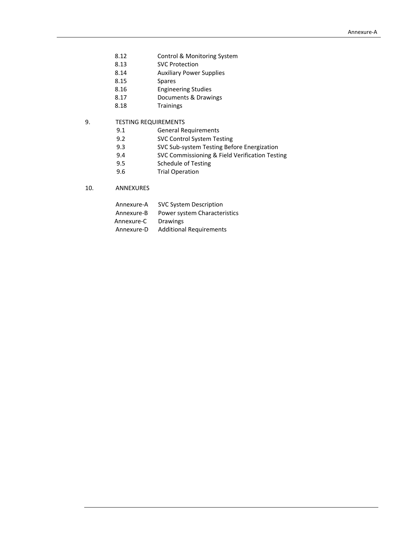- 8.12 Control & Monitoring System
- 8.13 SVC Protection
- 8.14 Auxiliary Power Supplies
- 8.15 Spares
- 8.16 Engineering Studies
- 8.17 Documents & Drawings
- 8.18 Trainings

# 9. TESTING REQUIREMENTS

- 9.1 General Requirements<br>9.2 SVC Control System Tes
- SVC Control System Testing
- 9.3 SVC Sub-system Testing Before Energization
- 9.4 SVC Commissioning & Field Verification Testing
- 9.5 Schedule of Testing
- 9.6 Trial Operation

# 10. ANNEXURES

| Annexure-A | <b>SVC System Description</b>  |
|------------|--------------------------------|
| Annexure-B | Power system Characteristics   |
| Annexure-C | <b>Drawings</b>                |
| Annexure-D | <b>Additional Requirements</b> |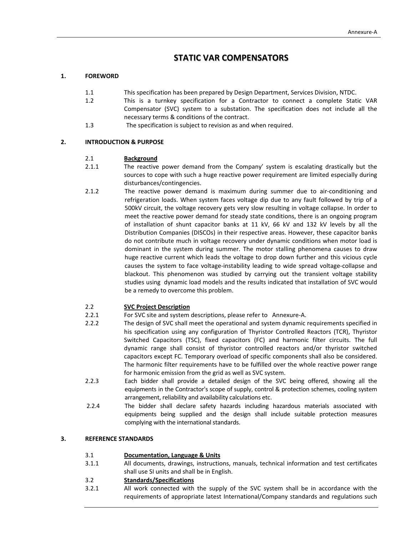# **STATIC VAR COMPENSATORS**

# **1. FOREWORD**

- 1.1 This specification has been prepared by Design Department, Services Division, NTDC.
- 1.2 This is a turnkey specification for a Contractor to connect a complete Static VAR Compensator (SVC) system to a substation. The specification does not include all the necessary terms & conditions of the contract.
- 1.3 The specification is subject to revision as and when required.

# **2. INTRODUCTION & PURPOSE**

# 2.1 **Background**

- 2.1.1 The reactive power demand from the Company' system is escalating drastically but the sources to cope with such a huge reactive power requirement are limited especially during disturbances/contingencies.
- 2.1.2 The reactive power demand is maximum during summer due to air‐conditioning and refrigeration loads. When system faces voltage dip due to any fault followed by trip of a 500kV circuit, the voltage recovery gets very slow resulting in voltage collapse. In order to meet the reactive power demand for steady state conditions, there is an ongoing program of installation of shunt capacitor banks at 11 kV, 66 kV and 132 kV levels by all the Distribution Companies (DISCOs) in their respective areas. However, these capacitor banks do not contribute much in voltage recovery under dynamic conditions when motor load is dominant in the system during summer. The motor stalling phenomena causes to draw huge reactive current which leads the voltage to drop down further and this vicious cycle causes the system to face voltage‐instability leading to wide spread voltage‐collapse and blackout. This phenomenon was studied by carrying out the transient voltage stability studies using dynamic load models and the results indicated that installation of SVC would be a remedy to overcome this problem.

# 2.2 **SVC Project Description**

- 2.2.1 For SVC site and system descriptions, please refer to Annexure-A.
- 2.2.2 The design of SVC shall meet the operational and system dynamic requirements specified in his specification using any configuration of Thyristor Controlled Reactors (TCR), Thyristor Switched Capacitors (TSC), fixed capacitors (FC) and harmonic filter circuits. The full dynamic range shall consist of thyristor controlled reactors and/or thyristor switched capacitors except FC. Temporary overload of specific components shall also be considered. The harmonic filter requirements have to be fulfilled over the whole reactive power range for harmonic emission from the grid as well as SVC system.
- 2.2.3 Each bidder shall provide a detailed design of the SVC being offered, showing all the equipments in the Contractor's scope of supply, control & protection schemes, cooling system arrangement, reliability and availability calculations etc.
- 2.2.4 The bidder shall declare safety hazards including hazardous materials associated with equipments being supplied and the design shall include suitable protection measures complying with the international standards.

# **3. REFERENCE STANDARDS**

#### 3.1 **Documentation, Language & Units**

3.1.1 All documents, drawings, instructions, manuals, technical information and test certificates shall use SI units and shall be in English.

#### 3.2 **Standards/Specifications**

3.2.1 All work connected with the supply of the SVC system shall be in accordance with the requirements of appropriate latest International/Company standards and regulations such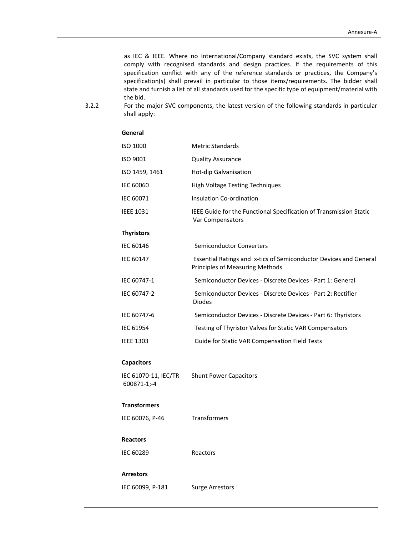as IEC & IEEE. Where no International/Company standard exists, the SVC system shall comply with recognised standards and design practices. If the requirements of this specification conflict with any of the reference standards or practices, the Company's specification(s) shall prevail in particular to those items/requirements. The bidder shall state and furnish a list of all standards used for the specific type of equipment/material with the bid.

3.2.2 For the major SVC components, the latest version of the following standards in particular shall apply:

# ISO 1000 Metric Standards ISO 9001 Quality Assurance ISO 1459, 1461 Hot-dip Galvanisation IEC 60060 High Voltage Testing Techniques IEC 60071 Insulation Co-ordination IEEE 1031 IEEE Guide for the Functional Specification of Transmission Static Var Compensators **Thyristors** IEC 60146 Semiconductor Converters IEC 60147 **ESSENT EXECUTE:** ESSENTIAl Ratings and x-tics of Semiconductor Devices and General Principles of Measuring Methods IEC 60747‐1 Semiconductor Devices ‐ Discrete Devices ‐ Part 1: General IEC 60747‐2 Semiconductor Devices ‐ Discrete Devices ‐ Part 2: Rectifier Diodes IEC 60747‐6 Semiconductor Devices ‐ Discrete Devices ‐ Part 6: Thyristors IEC 61954 Testing of Thyristor Valves for Static VAR Compensators IEEE 1303 Guide for Static VAR Compensation Field Tests

#### **Capacitors**

IEC 61070‐11, IEC/TR 600871‐1;‐4 Shunt Power Capacitors

#### **Transformers**

IEC 60076, P-46 Transformers

#### **Reactors**

IEC 60289 Reactors

#### **Arrestors**

IEC 60099, P-181 Surge Arrestors

#### **General**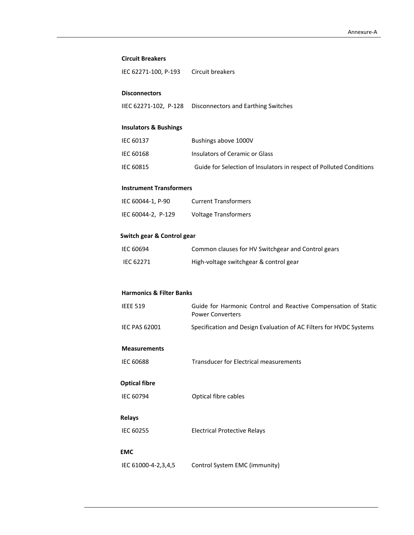#### **Circuit Breakers**

| IEC 62271-100, P-193 | Circuit breakers |
|----------------------|------------------|
|----------------------|------------------|

#### **Disconnectors**

IIEC 62271‐102, P‐128 Disconnectors and Earthing Switches

# **Insulators & Bushings**

| IEC 60137 | Bushings above 1000V                                                |
|-----------|---------------------------------------------------------------------|
| IEC 60168 | Insulators of Ceramic or Glass                                      |
| IEC 60815 | Guide for Selection of Insulators in respect of Polluted Conditions |

# **Instrument Transformers**

| IEC 60044-1, P-90  | <b>Current Transformers</b> |
|--------------------|-----------------------------|
| IEC 60044-2, P-129 | <b>Voltage Transformers</b> |

# **Switch gear & Control gear**

| IEC 60694 | Common clauses for HV Switchgear and Control gears |
|-----------|----------------------------------------------------|
| IEC 62271 | High-voltage switchgear & control gear             |

#### **Harmonics & Filter Banks**

| <b>IEEE 519</b> | Guide for Harmonic Control and Reactive Compensation of Static<br><b>Power Converters</b> |
|-----------------|-------------------------------------------------------------------------------------------|
| IEC PAS 62001   | Specification and Design Evaluation of AC Filters for HVDC Systems                        |

# **Measurements**

IEC 60688 Transducer for Electrical measurements

# **Optical fibre**

IEC 60794 Optical fibre cables

# **Relays**

IEC 60255 Electrical Protective Relays

# **EMC**

IEC 61000‐4‐2,3,4,5 Control System EMC (immunity)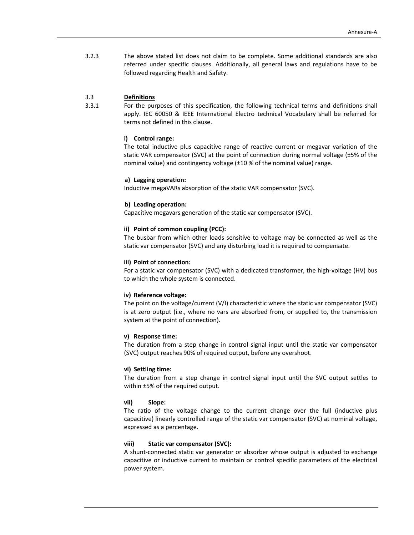3.2.3 The above stated list does not claim to be complete. Some additional standards are also referred under specific clauses. Additionally, all general laws and regulations have to be followed regarding Health and Safety.

# 3.3 **Definitions**

3.3.1 For the purposes of this specification, the following technical terms and definitions shall apply. IEC 60050 & IEEE International Electro technical Vocabulary shall be referred for terms not defined in this clause.

#### **i) Control range:**

The total inductive plus capacitive range of reactive current or megavar variation of the static VAR compensator (SVC) at the point of connection during normal voltage (±5% of the nominal value) and contingency voltage (±10 % of the nominal value) range.

#### **a) Lagging operation:**

Inductive megaVARs absorption of the static VAR compensator (SVC).

#### **b) Leading operation:**

Capacitive megavars generation of the static var compensator (SVC).

#### **ii) Point of common coupling (PCC):**

The busbar from which other loads sensitive to voltage may be connected as well as the static var compensator (SVC) and any disturbing load it is required to compensate.

#### **iii) Point of connection:**

For a static var compensator (SVC) with a dedicated transformer, the high‐voltage (HV) bus to which the whole system is connected.

#### **iv) Reference voltage:**

The point on the voltage/current (V/I) characteristic where the static var compensator (SVC) is at zero output (i.e., where no vars are absorbed from, or supplied to, the transmission system at the point of connection).

#### **v) Response time:**

The duration from a step change in control signal input until the static var compensator (SVC) output reaches 90% of required output, before any overshoot.

#### **vi) Settling time:**

The duration from a step change in control signal input until the SVC output settles to within ±5% of the required output.

#### **vii) Slope:**

The ratio of the voltage change to the current change over the full (inductive plus capacitive) linearly controlled range of the static var compensator (SVC) at nominal voltage, expressed as a percentage.

#### **viii) Static var compensator (SVC):**

A shunt‐connected static var generator or absorber whose output is adjusted to exchange capacitive or inductive current to maintain or control specific parameters of the electrical power system.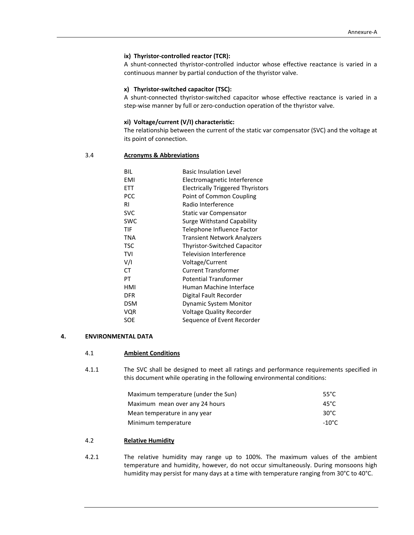# **ix) Thyristor‐controlled reactor (TCR):**

A shunt-connected thyristor-controlled inductor whose effective reactance is varied in a continuous manner by partial conduction of the thyristor valve.

# **x) Thyristor‐switched capacitor (TSC):**

A shunt‐connected thyristor‐switched capacitor whose effective reactance is varied in a step-wise manner by full or zero-conduction operation of the thyristor valve.

#### **xi) Voltage/current (V/I) characteristic:**

The relationship between the current of the static var compensator (SVC) and the voltage at its point of connection.

# 3.4 **Acronyms & Abbreviations**

| BIL        | <b>Basic Insulation Level</b>            |
|------------|------------------------------------------|
| EMI        | Electromagnetic Interference             |
| ETT        | <b>Electrically Triggered Thyristors</b> |
| <b>PCC</b> | Point of Common Coupling                 |
| RI         | Radio Interference                       |
| <b>SVC</b> | Static var Compensator                   |
| <b>SWC</b> | Surge Withstand Capability               |
| TIF        | Telephone Influence Factor               |
| <b>TNA</b> | <b>Transient Network Analyzers</b>       |
| TSC        | <b>Thyristor-Switched Capacitor</b>      |
| TVI        | Television Interference                  |
| V/I        | Voltage/Current                          |
| СT         | <b>Current Transformer</b>               |
| PT         | Potential Transformer                    |
| HMI        | Human Machine Interface                  |
| <b>DFR</b> | Digital Fault Recorder                   |
| <b>DSM</b> | <b>Dynamic System Monitor</b>            |
| VQR        | <b>Voltage Quality Recorder</b>          |
| SOE        | Sequence of Event Recorder               |
|            |                                          |

#### **4. ENVIRONMENTAL DATA**

#### 4.1 **Ambient Conditions**

4.1.1 The SVC shall be designed to meet all ratings and performance requirements specified in this document while operating in the following environmental conditions:

| Maximum temperature (under the Sun) | 55°C   |
|-------------------------------------|--------|
| Maximum mean over any 24 hours      | 45°C   |
| Mean temperature in any year        | 30°C   |
| Minimum temperature                 | -10°C. |

#### 4.2 **Relative Humidity**

4.2.1 The relative humidity may range up to 100%. The maximum values of the ambient temperature and humidity, however, do not occur simultaneously. During monsoons high humidity may persist for many days at a time with temperature ranging from 30°C to 40°C.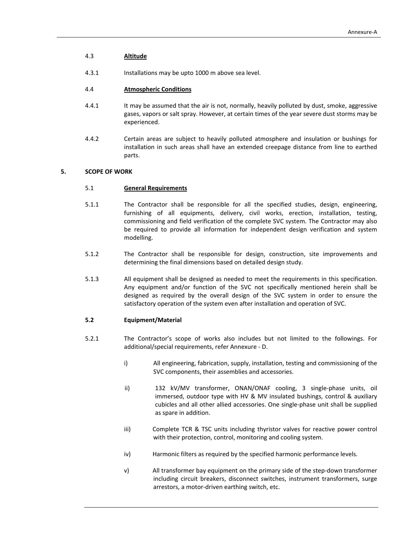# 4.3 **Altitude**

4.3.1 Installations may be upto 1000 m above sea level.

#### 4.4 **Atmospheric Conditions**

- 4.4.1 It may be assumed that the air is not, normally, heavily polluted by dust, smoke, aggressive gases, vapors or salt spray. However, at certain times of the year severe dust storms may be experienced.
- 4.4.2 Certain areas are subject to heavily polluted atmosphere and insulation or bushings for installation in such areas shall have an extended creepage distance from line to earthed parts.

# **5. SCOPE OF WORK**

# 5.1 **General Requirements**

- 5.1.1 The Contractor shall be responsible for all the specified studies, design, engineering, furnishing of all equipments, delivery, civil works, erection, installation, testing, commissioning and field verification of the complete SVC system. The Contractor may also be required to provide all information for independent design verification and system modelling.
- 5.1.2 The Contractor shall be responsible for design, construction, site improvements and determining the final dimensions based on detailed design study.
- 5.1.3 All equipment shall be designed as needed to meet the requirements in this specification. Any equipment and/or function of the SVC not specifically mentioned herein shall be designed as required by the overall design of the SVC system in order to ensure the satisfactory operation of the system even after installation and operation of SVC.

#### **5.2 Equipment/Material**

- 5.2.1 The Contractor's scope of works also includes but not limited to the followings. For additional/special requirements, refer Annexure ‐ D.
	- i) All engineering, fabrication, supply, installation, testing and commissioning of the SVC components, their assemblies and accessories.
	- ii) 132 kV/MV transformer, ONAN/ONAF cooling, 3 single-phase units, oil immersed, outdoor type with HV & MV insulated bushings, control & auxiliary cubicles and all other allied accessories. One single‐phase unit shall be supplied as spare in addition.
	- iii) Complete TCR & TSC units including thyristor valves for reactive power control with their protection, control, monitoring and cooling system.
	- iv) Harmonic filters as required by the specified harmonic performance levels.
	- v) All transformer bay equipment on the primary side of the step‐down transformer including circuit breakers, disconnect switches, instrument transformers, surge arrestors, a motor‐driven earthing switch, etc.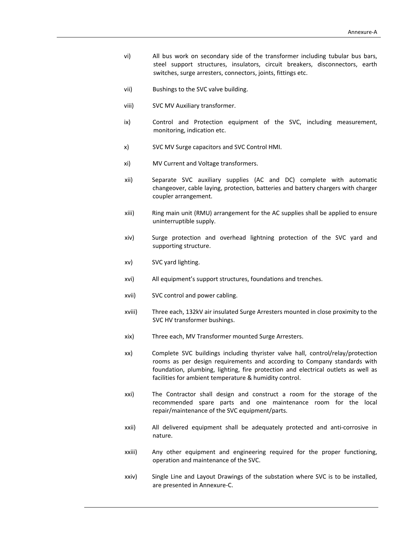- vi) All bus work on secondary side of the transformer including tubular bus bars, steel support structures, insulators, circuit breakers, disconnectors, earth switches, surge arresters, connectors, joints, fittings etc.
- vii) Bushings to the SVC valve building.
- viii) SVC MV Auxiliary transformer.
- ix) Control and Protection equipment of the SVC, including measurement, monitoring, indication etc.
- x) SVC MV Surge capacitors and SVC Control HMI.
- xi) MV Current and Voltage transformers.
- xii) Separate SVC auxiliary supplies (AC and DC) complete with automatic changeover, cable laying, protection, batteries and battery chargers with charger coupler arrangement.
- xiii) Ring main unit (RMU) arrangement for the AC supplies shall be applied to ensure uninterruptible supply.
- xiv) Surge protection and overhead lightning protection of the SVC yard and supporting structure.
- xv) SVC yard lighting.
- xvi) All equipment's support structures, foundations and trenches.
- xvii) SVC control and power cabling.
- xviii) Three each, 132kV air insulated Surge Arresters mounted in close proximity to the SVC HV transformer bushings.
- xix) Three each, MV Transformer mounted Surge Arresters.
- xx) Complete SVC buildings including thyrister valve hall, control/relay/protection rooms as per design requirements and according to Company standards with foundation, plumbing, lighting, fire protection and electrical outlets as well as facilities for ambient temperature & humidity control.
- xxi) The Contractor shall design and construct a room for the storage of the recommended spare parts and one maintenance room for the local repair/maintenance of the SVC equipment/parts.
- xxii) All delivered equipment shall be adequately protected and anti‐corrosive in nature.
- xxiii) Any other equipment and engineering required for the proper functioning, operation and maintenance of the SVC.
- xxiv) Single Line and Layout Drawings of the substation where SVC is to be installed, are presented in Annexure‐C.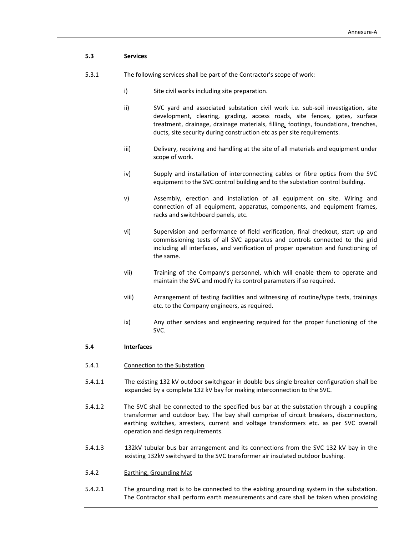# **5.3 Services**

- 5.3.1 The following services shall be part of the Contractor's scope of work:
	- i) Site civil works including site preparation.
	- ii) SVC yard and associated substation civil work i.e. sub-soil investigation, site development, clearing, grading, access roads, site fences, gates, surface treatment, drainage, drainage materials, filling, footings, foundations, trenches, ducts, site security during construction etc as per site requirements.
	- iii) Delivery, receiving and handling at the site of all materials and equipment under scope of work.
	- iv) Supply and installation of interconnecting cables or fibre optics from the SVC equipment to the SVC control building and to the substation control building.
	- v) Assembly, erection and installation of all equipment on site. Wiring and connection of all equipment, apparatus, components, and equipment frames, racks and switchboard panels, etc.
	- vi) Supervision and performance of field verification, final checkout, start up and commissioning tests of all SVC apparatus and controls connected to the grid including all interfaces, and verification of proper operation and functioning of the same.
	- vii) Training of the Company's personnel, which will enable them to operate and maintain the SVC and modify its control parameters if so required.
	- viii) Arrangement of testing facilities and witnessing of routine/type tests, trainings etc. to the Company engineers, as required.
	- ix) Any other services and engineering required for the proper functioning of the SVC.

# **5.4 Interfaces**

- 5.4.1 Connection to the Substation
- 5.4.1.1 The existing 132 kV outdoor switchgear in double bus single breaker configuration shall be expanded by a complete 132 kV bay for making interconnection to the SVC.
- 5.4.1.2 The SVC shall be connected to the specified bus bar at the substation through a coupling transformer and outdoor bay. The bay shall comprise of circuit breakers, disconnectors, earthing switches, arresters, current and voltage transformers etc. as per SVC overall operation and design requirements.
- 5.4.1.3 132kV tubular bus bar arrangement and its connections from the SVC 132 kV bay in the existing 132kV switchyard to the SVC transformer air insulated outdoor bushing.
- 5.4.2 Earthing, Grounding Mat
- 5.4.2.1 The grounding mat is to be connected to the existing grounding system in the substation. The Contractor shall perform earth measurements and care shall be taken when providing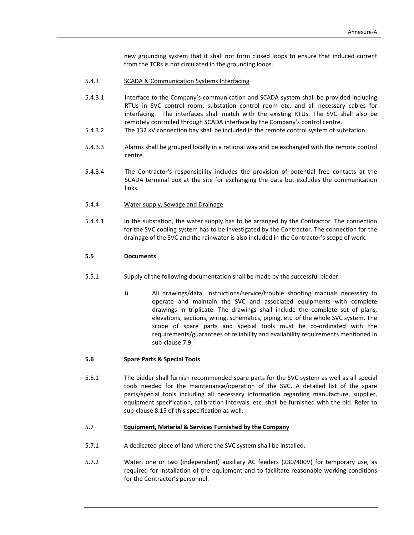new grounding system that it shall not form closed loops to ensure that induced current from the TCRs is not circulated in the grounding loops.

- 5.4.3 SCADA & Communication Systems Interfacing
- 5.4.3.1 Interface to the Company's communication and SCADA system shall be provided including RTUs in SVC control room, substation control room etc. and all necessary cables for interfacing. The interfaces shall match with the existing RTUs. The SVC shall also be remotely controlled through SCADA interface by the Company's control centre.
- 5.4.3.2 The 132 kV connection bay shall be included in the remote control system of substation.
- 5.4.3.3 Alarms shall be grouped locally in a rational way and be exchanged with the remote control centre.
- 5.4.3.4 The Contractor's responsibility includes the provision of potential free contacts at the SCADA terminal box at the site for exchanging the data but excludes the communication links.
- 5.4.4 Water supply, Sewage and Drainage
- 5.4.4.1 In the substation, the water supply has to be arranged by the Contractor. The connection for the SVC cooling system has to be investigated by the Contractor. The connection for the drainage of the SVC and the rainwater is also included in the Contractor's scope of work.

#### **5.5 Documents**

- 5.5.1 Supply of the following documentation shall be made by the successful bidder:
	- i) All drawings/data, instructions/service/trouble shooting manuals necessary to operate and maintain the SVC and associated equipments with complete drawings in triplicate. The drawings shall include the complete set of plans, elevations, sections, wiring, schematics, piping, etc. of the whole SVC system. The scope of spare parts and special tools must be co-ordinated with the requirements/guarantees of reliability and availability requirements mentioned in sub‐clause 7.9.

#### **5.6 Spare Parts & Special Tools**

5.6.1 The bidder shall furnish recommended spare parts for the SVC system as well as all special tools needed for the maintenance/operation of the SVC. A detailed list of the spare parts/special tools including all necessary information regarding manufacture, supplier, equipment specification, calibration intervals, etc. shall be furnished with the bid. Refer to sub‐clause 8.15 of this specification as well.

# 5.7 **Equipment, Material & Services Furnished by the Company**

- 5.7.1 A dedicated piece of land where the SVC system shall be installed.
- 5.7.2 Water, one or two (independent) auxiliary AC feeders (230/400V) for temporary use, as required for installation of the equipment and to facilitate reasonable working conditions for the Contractor's personnel.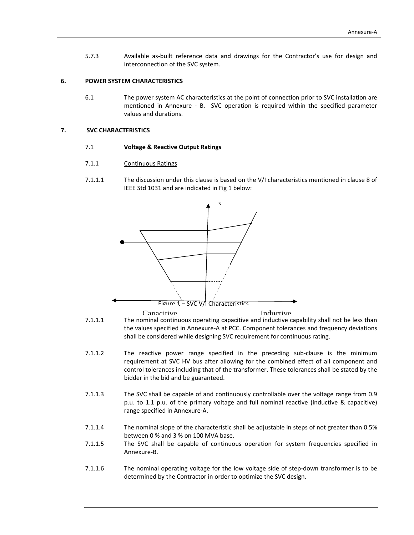5.7.3 Available as-built reference data and drawings for the Contractor's use for design and interconnection of the SVC system.

#### **6. POWER SYSTEM CHARACTERISTICS**

6.1 The power system AC characteristics at the point of connection prior to SVC installation are mentioned in Annexure - B. SVC operation is required within the specified parameter values and durations.

#### **7. SVC CHARACTERISTICS**

#### 7.1 **Voltage & Reactive Output Ratings**

- 7.1.1 **Continuous Ratings**
- 7.1.1.1 The discussion under this clause is based on the V/I characteristics mentioned in clause 8 of IEEE Std 1031 and are indicated in Fig 1 below:



7.1.1.1 The nominal continuous operating capacitive and inductive capability shall not be less than the values specified in Annexure‐A at PCC. Component tolerances and frequency deviations shall be considered while designing SVC requirement for continuous rating.

- 7.1.1.2 The reactive power range specified in the preceding sub-clause is the minimum requirement at SVC HV bus after allowing for the combined effect of all component and control tolerances including that of the transformer. These tolerances shall be stated by the bidder in the bid and be guaranteed.
- 7.1.1.3 The SVC shall be capable of and continuously controllable over the voltage range from 0.9 p.u. to 1.1 p.u. of the primary voltage and full nominal reactive (inductive & capacitive) range specified in Annexure‐A.
- 7.1.1.4 The nominal slope of the characteristic shall be adjustable in steps of not greater than 0.5% between 0 % and 3 % on 100 MVA base.
- 7.1.1.5 The SVC shall be capable of continuous operation for system frequencies specified in Annexure‐B.
- 7.1.1.6 The nominal operating voltage for the low voltage side of step-down transformer is to be determined by the Contractor in order to optimize the SVC design.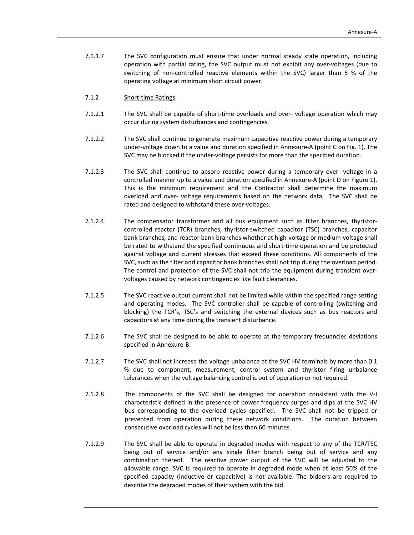7.1.1.7 The SVC configuration must ensure that under normal steady state operation, including operation with partial rating, the SVC output must not exhibit any over‐voltages (due to switching of non‐controlled reactive elements within the SVC) larger than 5 % of the operating voltage at minimum short circuit power.

## 7.1.2 Short‐time Ratings

- 7.1.2.1 The SVC shall be capable of short-time overloads and over- voltage operation which may occur during system disturbances and contingencies.
- 7.1.2.2 The SVC shall continue to generate maximum capacitive reactive power during a temporary under‐voltage down to a value and duration specified in Annexure‐A (point C on Fig. 1). The SVC may be blocked if the under‐voltage persists for more than the specified duration.
- 7.1.2.3 The SVC shall continue to absorb reactive power during a temporary over ‐voltage in a controlled manner up to a value and duration specified in Annexure‐A (point D on Figure 1). This is the minimum requirement and the Contractor shall determine the maximum overload and over- voltage requirements based on the network data. The SVC shall be rated and designed to withstand these over‐voltages.
- 7.1.2.4 The compensator transformer and all bus equipment such as filter branches, thyristorcontrolled reactor (TCR) branches, thyristor‐switched capacitor (TSC) branches, capacitor bank branches, and reactor bank branches whether at high‐voltage or medium‐voltage shall be rated to withstand the specified continuous and short‐time operation and be protected against voltage and current stresses that exceed these conditions. All components of the SVC, such as the filter and capacitor bank branches shall not trip during the overload period. The control and protection of the SVC shall not trip the equipment during transient overvoltages caused by network contingencies like fault clearances.
- 7.1.2.5 The SVC reactive output current shall not be limited while within the specified range setting and operating modes. The SVC controller shall be capable of controlling (switching and blocking) the TCR's, TSC's and switching the external devices such as bus reactors and capacitors at any time during the transient disturbance.
- 7.1.2.6 The SVC shall be designed to be able to operate at the temporary frequencies deviations specified in Annexure‐B.
- 7.1.2.7 The SVC shall not increase the voltage unbalance at the SVC HV terminals by more than 0.1 % due to component, measurement, control system and thyristor firing unbalance tolerances when the voltage balancing control is out of operation or not required.
- 7.1.2.8 The components of the SVC shall be designed for operation consistent with the V‐I characteristic defined in the presence of power frequency surges and dips at the SVC HV bus corresponding to the overload cycles specified. The SVC shall not be tripped or prevented from operation during these network conditions. The duration between consecutive overload cycles will not be less than 60 minutes.
- 7.1.2.9 The SVC shall be able to operate in degraded modes with respect to any of the TCR/TSC being out of service and/or any single filter branch being out of service and any combination thereof. The reactive power output of the SVC will be adjusted to the allowable range. SVC is required to operate in degraded mode when at least 50% of the specified capacity (inductive or capacitive) is not available. The bidders are required to describe the degraded modes of their system with the bid.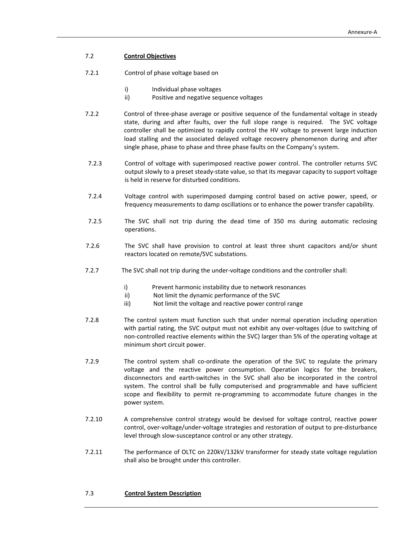# 7.2 **Control Objectives**

- 7.2.1 Control of phase voltage based on
	- i) Individual phase voltages
	- ii) Positive and negative sequence voltages
- 7.2.2 Control of three-phase average or positive sequence of the fundamental voltage in steady state, during and after faults, over the full slope range is required. The SVC voltage controller shall be optimized to rapidly control the HV voltage to prevent large induction load stalling and the associated delayed voltage recovery phenomenon during and after single phase, phase to phase and three phase faults on the Company's system.
- 7.2.3 Control of voltage with superimposed reactive power control. The controller returns SVC output slowly to a preset steady‐state value, so that its megavar capacity to support voltage is held in reserve for disturbed conditions.
- 7.2.4 Voltage control with superimposed damping control based on active power, speed, or frequency measurements to damp oscillations or to enhance the power transfer capability.
- 7.2.5 The SVC shall not trip during the dead time of 350 ms during automatic reclosing operations.
- 7.2.6 The SVC shall have provision to control at least three shunt capacitors and/or shunt reactors located on remote/SVC substations.
- 7.2.7 The SVC shall not trip during the under-voltage conditions and the controller shall:
	- i) Prevent harmonic instability due to network resonances
	- ii) Not limit the dynamic performance of the SVC
	- iii) Not limit the voltage and reactive power control range
- 7.2.8 The control system must function such that under normal operation including operation with partial rating, the SVC output must not exhibit any over-voltages (due to switching of non‐controlled reactive elements within the SVC) larger than 5% of the operating voltage at minimum short circuit power.
- 7.2.9 The control system shall co-ordinate the operation of the SVC to regulate the primary voltage and the reactive power consumption. Operation logics for the breakers, disconnectors and earth‐switches in the SVC shall also be incorporated in the control system. The control shall be fully computerised and programmable and have sufficient scope and flexibility to permit re‐programming to accommodate future changes in the power system.
- 7.2.10 A comprehensive control strategy would be devised for voltage control, reactive power control, over‐voltage/under‐voltage strategies and restoration of output to pre‐disturbance level through slow‐susceptance control or any other strategy.
- 7.2.11 The performance of OLTC on 220kV/132kV transformer for steady state voltage regulation shall also be brought under this controller.

# 7.3 **Control System Description**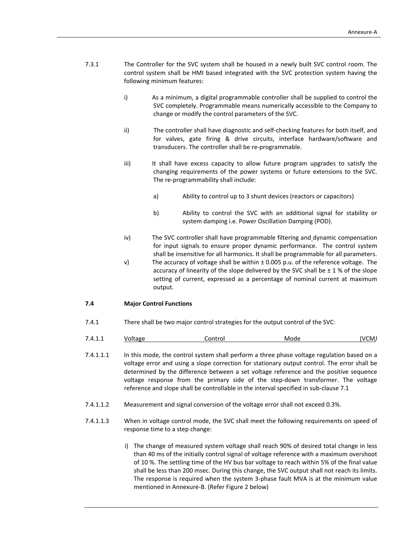- 7.3.1 The Controller for the SVC system shall be housed in a newly built SVC control room. The control system shall be HMI based integrated with the SVC protection system having the following minimum features:
	- i) As a minimum, a digital programmable controller shall be supplied to control the SVC completely. Programmable means numerically accessible to the Company to change or modify the control parameters of the SVC.
	- ii) The controller shall have diagnostic and self-checking features for both itself, and for valves, gate firing & drive circuits, interface hardware/software and transducers. The controller shall be re‐programmable.
	- iii) It shall have excess capacity to allow future program upgrades to satisfy the changing requirements of the power systems or future extensions to the SVC. The re‐programmability shall include:
		- a) Ability to control up to 3 shunt devices (reactors or capacitors)
		- b) Ability to control the SVC with an additional signal for stability or system damping i.e. Power Oscillation Damping (POD).
	- iv) The SVC controller shall have programmable filtering and dynamic compensation for input signals to ensure proper dynamic performance. The control system shall be insensitive for all harmonics. It shall be programmable for all parameters.
	- v) The accuracy of voltage shall be within  $\pm$  0.005 p.u. of the reference voltage. The accuracy of linearity of the slope delivered by the SVC shall be  $\pm$  1 % of the slope setting of current, expressed as a percentage of nominal current at maximum output.

#### **7.4 Major Control Functions**

7.4.1 There shall be two major control strategies for the output control of the SVC:

| , ,<br>. | 7 A | - - -<br>.<br>ית ב | ----- | M<br>ากาศ | V<br>. IVI.<br>. |
|----------|-----|--------------------|-------|-----------|------------------|
|----------|-----|--------------------|-------|-----------|------------------|

7.4.1.1.1 In this mode, the control system shall perform a three phase voltage regulation based on a voltage error and using a slope correction for stationary output control. The error shall be determined by the difference between a set voltage reference and the positive sequence voltage response from the primary side of the step‐down transformer. The voltage reference and slope shall be controllable in the interval specified in sub‐clause 7.1

- 7.4.1.1.2 Measurement and signal conversion of the voltage error shall not exceed 0.3%.
- 7.4.1.1.3 When in voltage control mode, the SVC shall meet the following requirements on speed of response time to a step change:
	- i) The change of measured system voltage shall reach 90% of desired total change in less than 40 ms of the initially control signal of voltage reference with a maximum overshoot of 10 %. The settling time of the HV bus bar voltage to reach within 5% of the final value shall be less than 200 msec. During this change, the SVC output shall not reach its limits. The response is required when the system 3‐phase fault MVA is at the minimum value mentioned in Annexure‐B. (Refer Figure 2 below)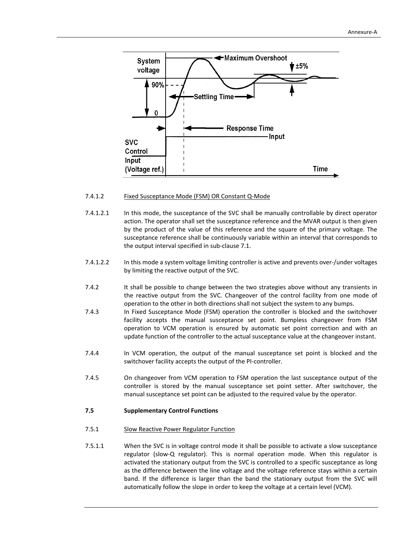

#### 7.4.1.2 Fixed Susceptance Mode (FSM) OR Constant Q-Mode

- 7.4.1.2.1 In this mode, the susceptance of the SVC shall be manually controllable by direct operator action. The operator shall set the susceptance reference and the MVAR output is then given by the product of the value of this reference and the square of the primary voltage. The susceptance reference shall be continuously variable within an interval that corresponds to the output interval specified in sub‐clause 7.1.
- 7.4.1.2.2 In this mode a system voltage limiting controller is active and prevents over‐/under voltages by limiting the reactive output of the SVC.
- 7.4.2 It shall be possible to change between the two strategies above without any transients in the reactive output from the SVC. Changeover of the control facility from one mode of operation to the other in both directions shall not subject the system to any bumps.
- 7.4.3 In Fixed Susceptance Mode (FSM) operation the controller is blocked and the switchover facility accepts the manual susceptance set point. Bumpless changeover from FSM operation to VCM operation is ensured by automatic set point correction and with an update function of the controller to the actual susceptance value at the changeover instant.
- 7.4.4 In VCM operation, the output of the manual susceptance set point is blocked and the switchover facility accepts the output of the PI‐controller.
- 7.4.5 On changeover from VCM operation to FSM operation the last susceptance output of the controller is stored by the manual susceptance set point setter. After switchover, the manual susceptance set point can be adjusted to the required value by the operator.

#### **7.5 Supplementary Control Functions**

#### 7.5.1 Slow Reactive Power Regulator Function

7.5.1.1 When the SVC is in voltage control mode it shall be possible to activate a slow susceptance regulator (slow‐Q regulator). This is normal operation mode. When this regulator is activated the stationary output from the SVC is controlled to a specific susceptance as long as the difference between the line voltage and the voltage reference stays within a certain band. If the difference is larger than the band the stationary output from the SVC will automatically follow the slope in order to keep the voltage at a certain level (VCM).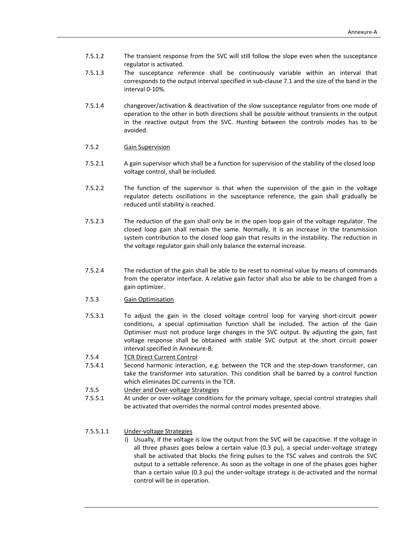- 7.5.1.2 The transient response from the SVC will still follow the slope even when the susceptance regulator is activated.
- 7.5.1.3 The susceptance reference shall be continuously variable within an interval that corresponds to the output interval specified in sub‐clause 7.1 and the size of the band in the interval 0‐10%.
- 7.5.1.4 changeover/activation & deactivation of the slow susceptance regulator from one mode of operation to the other in both directions shall be possible without transients in the output in the reactive output from the SVC. Hunting between the controls modes has to be avoided.

#### 7.5.2 Gain Supervision

- 7.5.2.1 A gain supervisor which shall be a function for supervision of the stability of the closed loop voltage control, shall be included.
- 7.5.2.2 The function of the supervisor is that when the supervision of the gain in the voltage regulator detects oscillations in the susceptance reference, the gain shall gradually be reduced until stability is reached.
- 7.5.2.3 The reduction of the gain shall only be in the open loop gain of the voltage regulator. The closed loop gain shall remain the same. Normally, it is an increase in the transmission system contribution to the closed loop gain that results in the instability. The reduction in the voltage regulator gain shall only balance the external increase.
- 7.5.2.4 The reduction of the gain shall be able to be reset to nominal value by means of commands from the operator interface. A relative gain factor shall also be able to be changed from a gain optimizer.
- 7.5.3 Gain Optimisation
- 7.5.3.1 To adjust the gain in the closed voltage control loop for varying short‐circuit power conditions, a special optimisation function shall be included. The action of the Gain Optimiser must not produce large changes in the SVC output. By adjusting the gain, fast voltage response shall be obtained with stable SVC output at the short circuit power interval specified in Annexure‐B.
- 7.5.4 TCR Direct Current Control
- 7.5.4.1 Second harmonic interaction, e.g. between the TCR and the step-down transformer, can take the transformer into saturation. This condition shall be barred by a control function which eliminates DC currents in the TCR.
- 7.5.5 Under and Over-voltage Strategies
- 7.5.5.1 At under or over‐voltage conditions for the primary voltage, special control strategies shall be activated that overrides the normal control modes presented above.

# 7.5.5.1.1 Under‐voltage Strategies

i) Usually, if the voltage is low the output from the SVC will be capacitive. If the voltage in all three phases goes below a certain value (0.3 pu), a special under‐voltage strategy shall be activated that blocks the firing pulses to the TSC valves and controls the SVC output to a settable reference. As soon as the voltage in one of the phases goes higher than a certain value (0.3 pu) the under‐voltage strategy is de‐activated and the normal control will be in operation.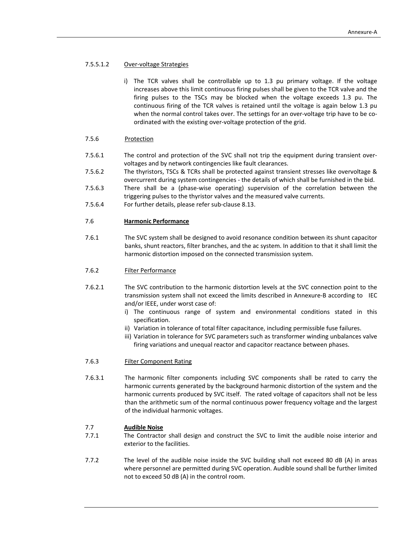# 7.5.5.1.2 Over‐voltage Strategies

i) The TCR valves shall be controllable up to 1.3 pu primary voltage. If the voltage increases above this limit continuous firing pulses shall be given to the TCR valve and the firing pulses to the TSCs may be blocked when the voltage exceeds 1.3 pu. The continuous firing of the TCR valves is retained until the voltage is again below 1.3 pu when the normal control takes over. The settings for an over-voltage trip have to be coordinated with the existing over‐voltage protection of the grid.

# 7.5.6 Protection

- 7.5.6.1 The control and protection of the SVC shall not trip the equipment during transient overvoltages and by network contingencies like fault clearances.
- 7.5.6.2 The thyristors, TSCs & TCRs shall be protected against transient stresses like overvoltage & overcurrent during system contingencies ‐ the details of which shall be furnished in the bid.
- 7.5.6.3 There shall be a (phase‐wise operating) supervision of the correlation between the triggering pulses to the thyristor valves and the measured valve currents.
- 7.5.6.4 For further details, please refer sub‐clause 8.13.

# 7.6 **Harmonic Performance**

7.6.1 The SVC system shall be designed to avoid resonance condition between its shunt capacitor banks, shunt reactors, filter branches, and the ac system. In addition to that it shall limit the harmonic distortion imposed on the connected transmission system.

#### 7.6.2 Filter Performance

- 7.6.2.1 The SVC contribution to the harmonic distortion levels at the SVC connection point to the transmission system shall not exceed the limits described in Annexure‐B according to IEC and/or IEEE, under worst case of:
	- i) The continuous range of system and environmental conditions stated in this specification.
	- ii) Variation in tolerance of total filter capacitance, including permissible fuse failures.
	- iii) Variation in tolerance for SVC parameters such as transformer winding unbalances valve firing variations and unequal reactor and capacitor reactance between phases.

#### 7.6.3 Filter Component Rating

7.6.3.1 The harmonic filter components including SVC components shall be rated to carry the harmonic currents generated by the background harmonic distortion of the system and the harmonic currents produced by SVC itself. The rated voltage of capacitors shall not be less than the arithmetic sum of the normal continuous power frequency voltage and the largest of the individual harmonic voltages.

#### 7.7 **Audible Noise**

- 7.7.1 The Contractor shall design and construct the SVC to limit the audible noise interior and exterior to the facilities.
- 7.7.2 The level of the audible noise inside the SVC building shall not exceed 80 dB (A) in areas where personnel are permitted during SVC operation. Audible sound shall be further limited not to exceed 50 dB (A) in the control room.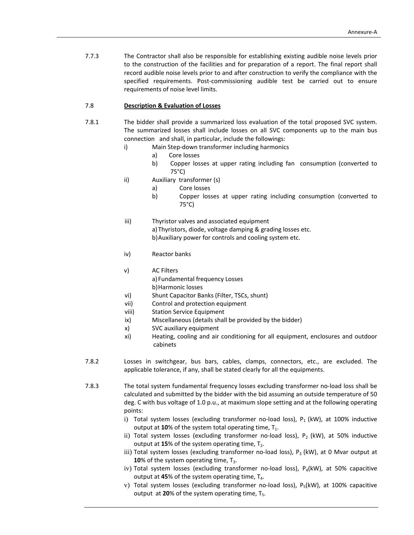7.7.3 The Contractor shall also be responsible for establishing existing audible noise levels prior to the construction of the facilities and for preparation of a report. The final report shall record audible noise levels prior to and after construction to verify the compliance with the specified requirements. Post-commissioning audible test be carried out to ensure requirements of noise level limits.

# 7.8 **Description & Evaluation of Losses**

- 7.8.1 The bidder shall provide a summarized loss evaluation of the total proposed SVC system. The summarized losses shall include losses on all SVC components up to the main bus connection and shall, in particular, include the followings:
	- i) Main Step‐down transformer including harmonics
		- a) Core losses
		- b) Copper losses at upper rating including fan consumption (converted to 75°C)
	- ii) Auxiliary transformer (s)
		- a) Core losses
		- b) Copper losses at upper rating including consumption (converted to 75°C)
	- iii) Thyristor valves and associated equipment a)Thyristors, diode, voltage damping & grading losses etc. b)Auxiliary power for controls and cooling system etc.
	- iv) Reactor banks
	- v) AC Filters a) Fundamental frequency Losses b)Harmonic losses
	- vi) Shunt Capacitor Banks (Filter, TSCs, shunt)
	- vii) Control and protection equipment
	- viii) Station Service Equipment
	- ix) Miscellaneous (details shall be provided by the bidder)
	- x) SVC auxiliary equipment
	- xi) Heating, cooling and air conditioning for all equipment, enclosures and outdoor cabinets
- 7.8.2 Losses in switchgear, bus bars, cables, clamps, connectors, etc., are excluded. The applicable tolerance, if any, shall be stated clearly for all the equipments.

7.8.3 The total system fundamental frequency losses excluding transformer no‐load loss shall be calculated and submitted by the bidder with the bid assuming an outside temperature of 50 deg. C with bus voltage of 1.0 p.u., at maximum slope setting and at the following operating points:

- i) Total system losses (excluding transformer no-load loss),  $P_1$  (kW), at 100% inductive output at  $10\%$  of the system total operating time,  $T_1$ .
- ii) Total system losses (excluding transformer no-load loss),  $P_2$  (kW), at 50% inductive output at  $15\%$  of the system operating time,  $T_2$ .
- iii) Total system losses (excluding transformer no-load loss),  $P_3$  (kW), at 0 Mvar output at **10%** of the system operating time, T<sub>3</sub>.
- iv) Total system losses (excluding transformer no-load loss),  $P_4(kW)$ , at 50% capacitive output at  $45%$  of the system operating time,  $T_4$ .
- v) Total system losses (excluding transformer no-load loss),  $P_5(kW)$ , at 100% capacitive output at  $20\%$  of the system operating time,  $T_5$ .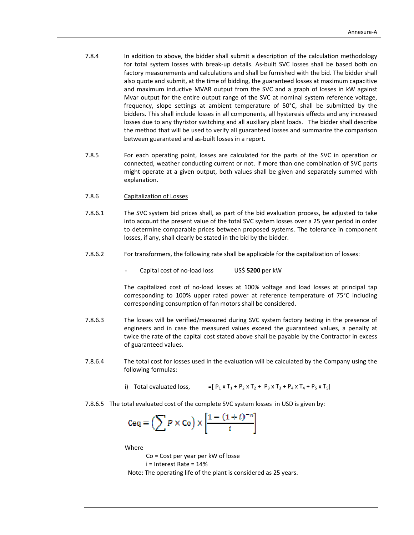- 7.8.4 In addition to above, the bidder shall submit a description of the calculation methodology for total system losses with break‐up details. As‐built SVC losses shall be based both on factory measurements and calculations and shall be furnished with the bid. The bidder shall also quote and submit, at the time of bidding, the guaranteed losses at maximum capacitive and maximum inductive MVAR output from the SVC and a graph of losses in kW against Mvar output for the entire output range of the SVC at nominal system reference voltage, frequency, slope settings at ambient temperature of 50°C, shall be submitted by the bidders. This shall include losses in all components, all hysteresis effects and any increased losses due to any thyristor switching and all auxiliary plant loads. The bidder shall describe the method that will be used to verify all guaranteed losses and summarize the comparison between guaranteed and as‐built losses in a report.
- 7.8.5 For each operating point, losses are calculated for the parts of the SVC in operation or connected, weather conducting current or not. If more than one combination of SVC parts might operate at a given output, both values shall be given and separately summed with explanation.
- 7.8.6 Capitalization of Losses
- 7.8.6.1 The SVC system bid prices shall, as part of the bid evaluation process, be adjusted to take into account the present value of the total SVC system losses over a 25 year period in order to determine comparable prices between proposed systems. The tolerance in component losses, if any, shall clearly be stated in the bid by the bidder.
- 7.8.6.2 For transformers, the following rate shall be applicable for the capitalization of losses:
	- Capital cost of no‐load loss US\$ **5200** per kW

 The capitalized cost of no‐load losses at 100% voltage and load losses at principal tap corresponding to 100% upper rated power at reference temperature of 75°C including corresponding consumption of fan motors shall be considered.

- 7.8.6.3 The losses will be verified/measured during SVC system factory testing in the presence of engineers and in case the measured values exceed the guaranteed values, a penalty at twice the rate of the capital cost stated above shall be payable by the Contractor in excess of guaranteed values.
- 7.8.6.4 The total cost for losses used in the evaluation will be calculated by the Company using the following formulas:
	- i) Total evaluated loss,  $=[P_1 \times T_1 + P_2 \times T_2 + P_3 \times T_3 + P_4 \times T_4 + P_5 \times T_5]$
- 7.8.6.5 The total evaluated cost of the complete SVC system losses in USD is given by:

$$
Ceq = \left(\sum P \times C_0\right) \times \left[\frac{1 - (1 + i)^{-n}}{i}\right]
$$

Where

Co = Cost per year per kW of losse

i = Interest Rate = 14%

Note: The operating life of the plant is considered as 25 years.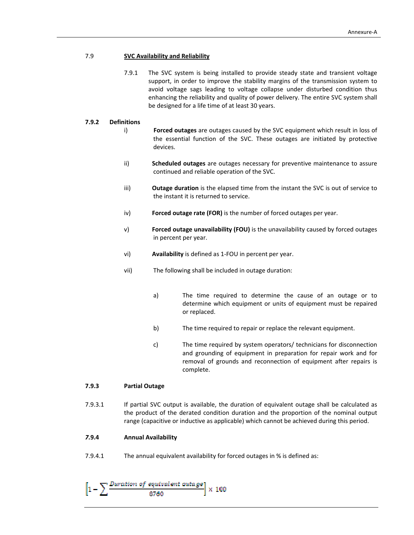# 7.9 **SVC Availability and Reliability**

7.9.1 The SVC system is being installed to provide steady state and transient voltage support, in order to improve the stability margins of the transmission system to avoid voltage sags leading to voltage collapse under disturbed condition thus enhancing the reliability and quality of power delivery. The entire SVC system shall be designed for a life time of at least 30 years.

## **7.9.2 Definitions**

- i) **Forced outages** are outages caused by the SVC equipment which result in loss of the essential function of the SVC. These outages are initiated by protective devices.
- ii) **Scheduled outages** are outages necessary for preventive maintenance to assure continued and reliable operation of the SVC.
- iii) **Outage duration** is the elapsed time from the instant the SVC is out of service to the instant it is returned to service.
- iv) **Forced outage rate (FOR)** is the number of forced outages per year.
- v) **Forced outage unavailability (FOU)** is the unavailability caused by forced outages in percent per year.
- vi) **Availability** is defined as 1‐FOU in percent per year.
- vii) The following shall be included in outage duration:
	- a) The time required to determine the cause of an outage or to determine which equipment or units of equipment must be repaired or replaced.
	- b) The time required to repair or replace the relevant equipment.
	- c) The time required by system operators/ technicians for disconnection and grounding of equipment in preparation for repair work and for removal of grounds and reconnection of equipment after repairs is complete.

# **7.9.3 Partial Outage**

7.9.3.1 If partial SVC output is available, the duration of equivalent outage shall be calculated as the product of the derated condition duration and the proportion of the nominal output range (capacitive or inductive as applicable) which cannot be achieved during this period.

#### *7.***9.4 Annual Availability**

7.9.4.1 The annual equivalent availability for forced outages in % is defined as:

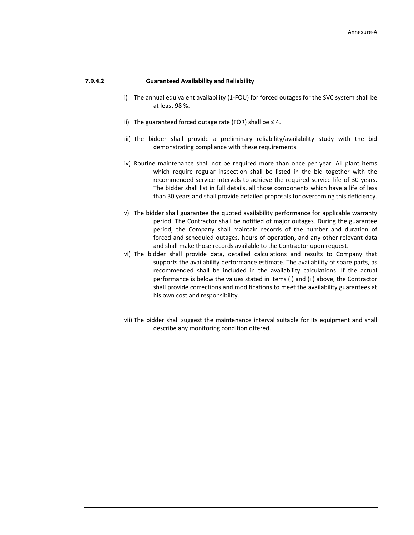# **7.9.4.2 Guaranteed Availability and Reliability**

- i) The annual equivalent availability (1‐FOU) for forced outages for the SVC system shall be at least 98 %.
- ii) The guaranteed forced outage rate (FOR) shall be  $\leq 4$ .
- iii) The bidder shall provide a preliminary reliability/availability study with the bid demonstrating compliance with these requirements.
- iv) Routine maintenance shall not be required more than once per year. All plant items which require regular inspection shall be listed in the bid together with the recommended service intervals to achieve the required service life of 30 years. The bidder shall list in full details, all those components which have a life of less than 30 years and shall provide detailed proposals for overcoming this deficiency.
- v) The bidder shall guarantee the quoted availability performance for applicable warranty period. The Contractor shall be notified of major outages. During the guarantee period, the Company shall maintain records of the number and duration of forced and scheduled outages, hours of operation, and any other relevant data and shall make those records available to the Contractor upon request.
- vi) The bidder shall provide data, detailed calculations and results to Company that supports the availability performance estimate. The availability of spare parts, as recommended shall be included in the availability calculations. If the actual performance is below the values stated in items (i) and (ii) above, the Contractor shall provide corrections and modifications to meet the availability guarantees at his own cost and responsibility.
- vii) The bidder shall suggest the maintenance interval suitable for its equipment and shall describe any monitoring condition offered.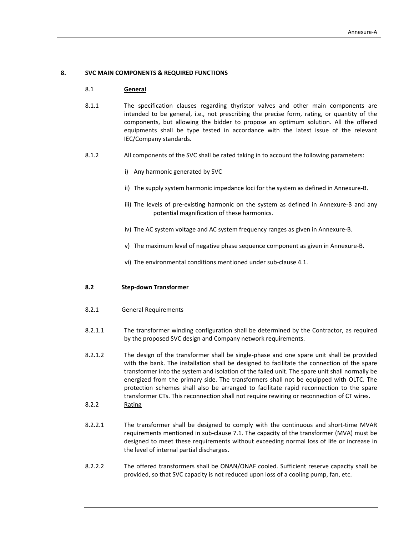## **8. SVC MAIN COMPONENTS & REQUIRED FUNCTIONS**

#### 8.1 **General**

- 8.1.1 The specification clauses regarding thyristor valves and other main components are intended to be general, i.e., not prescribing the precise form, rating, or quantity of the components, but allowing the bidder to propose an optimum solution. All the offered equipments shall be type tested in accordance with the latest issue of the relevant IEC/Company standards.
- 8.1.2 All components of the SVC shall be rated taking in to account the following parameters:
	- i) Any harmonic generated by SVC
	- ii) The supply system harmonic impedance loci for the system as defined in Annexure‐B.
	- iii) The levels of pre-existing harmonic on the system as defined in Annexure-B and any potential magnification of these harmonics.
	- iv) The AC system voltage and AC system frequency ranges as given in Annexure‐B.
	- v) The maximum level of negative phase sequence component as given in Annexure‐B.
	- vi) The environmental conditions mentioned under sub‐clause 4.1.

#### **8.2 Step‐down Transformer**

- 8.2.1 General Requirements
- 8.2.1.1 The transformer winding configuration shall be determined by the Contractor, as required by the proposed SVC design and Company network requirements.
- 8.2.1.2 The design of the transformer shall be single‐phase and one spare unit shall be provided with the bank. The installation shall be designed to facilitate the connection of the spare transformer into the system and isolation of the failed unit. The spare unit shall normally be energized from the primary side. The transformers shall not be equipped with OLTC. The protection schemes shall also be arranged to facilitate rapid reconnection to the spare transformer CTs. This reconnection shall not require rewiring or reconnection of CT wires.
- 8.2.2 Rating
- 8.2.2.1 The transformer shall be designed to comply with the continuous and short-time MVAR requirements mentioned in sub‐clause 7.1. The capacity of the transformer (MVA) must be designed to meet these requirements without exceeding normal loss of life or increase in the level of internal partial discharges.
- 8.2.2.2 The offered transformers shall be ONAN/ONAF cooled. Sufficient reserve capacity shall be provided, so that SVC capacity is not reduced upon loss of a cooling pump, fan, etc.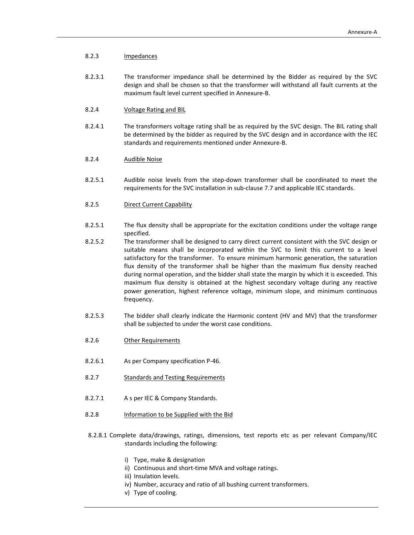# 8.2.3 Impedances

- 8.2.3.1 The transformer impedance shall be determined by the Bidder as required by the SVC design and shall be chosen so that the transformer will withstand all fault currents at the maximum fault level current specified in Annexure‐B.
- 8.2.4 Voltage Rating and BIL
- 8.2.4.1 The transformers voltage rating shall be as required by the SVC design. The BIL rating shall be determined by the bidder as required by the SVC design and in accordance with the IEC standards and requirements mentioned under Annexure‐B.
- 8.2.4 Audible Noise
- 8.2.5.1 Audible noise levels from the step-down transformer shall be coordinated to meet the requirements for the SVC installation in sub‐clause 7.7 and applicable IEC standards.
- 8.2.5 Direct Current Capability
- 8.2.5.1 The flux density shall be appropriate for the excitation conditions under the voltage range specified.
- 8.2.5.2 The transformer shall be designed to carry direct current consistent with the SVC design or suitable means shall be incorporated within the SVC to limit this current to a level satisfactory for the transformer. To ensure minimum harmonic generation, the saturation flux density of the transformer shall be higher than the maximum flux density reached during normal operation, and the bidder shall state the margin by which it is exceeded. This maximum flux density is obtained at the highest secondary voltage during any reactive power generation, highest reference voltage, minimum slope, and minimum continuous frequency.
- 8.2.5.3 The bidder shall clearly indicate the Harmonic content (HV and MV) that the transformer shall be subjected to under the worst case conditions.
- 8.2.6 Other Requirements
- 8.2.6.1 As per Company specification P‐46.
- 8.2.7 Standards and Testing Requirements
- 8.2.7.1 A s per IEC & Company Standards.
- 8.2.8 Information to be Supplied with the Bid
- 8.2.8.1 Complete data/drawings, ratings, dimensions, test reports etc as per relevant Company/IEC standards including the following:
	- i) Type, make & designation
	- ii) Continuous and short-time MVA and voltage ratings.
	- iii) Insulation levels.
	- iv) Number, accuracy and ratio of all bushing current transformers.
	- v) Type of cooling.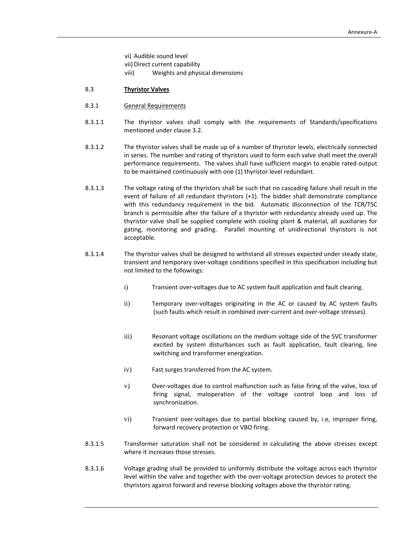- vi) Audible sound level
- vii) Direct current capability
- viii) Weights and physical dimensions

# 8.3 **Thyristor Valves**

- 8.3.1 General Requirements
- 8.3.1.1 The thyristor valves shall comply with the requirements of Standards/specifications mentioned under clause 3.2.
- 8.3.1.2 The thyristor valves shall be made up of a number of thyristor levels, electrically connected in series. The number and rating of thyristors used to form each valve shall meet the overall performance requirements. The valves shall have sufficient margin to enable rated output to be maintained continuously with one (1) thyristor level redundant.
- 8.3.1.3 The voltage rating of the thyristors shall be such that no cascading failure shall result in the event of failure of all redundant thyristors (+1). The bidder shall demonstrate compliance with this redundancy requirement in the bid. Automatic disconnection of the TCR/TSC branch is permissible after the failure of a thyristor with redundancy already used up. The thyristor valve shall be supplied complete with cooling plant & material, all auxiliaries for gating, monitoring and grading. Parallel mounting of unidirectional thyristors is not acceptable.
- 8.3.1.4 The thyristor valves shall be designed to withstand all stresses expected under steady state, transient and temporary over‐voltage conditions specified in this specification including but not limited to the followings:
	- i) Transient over-voltages due to AC system fault application and fault clearing.
	- ii) Temporary over-voltages originating in the AC or caused by AC system faults (such faults which result in combined over‐current and over‐voltage stresses).
	- iii) Resonant voltage oscillations on the medium voltage side of the SVC transformer excited by system disturbances such as fault application, fault clearing, line switching and transformer energization.
	- iv) Fast surges transferred from the AC system.
	- v) Over-voltages due to control malfunction such as false firing of the valve, loss of firing signal, maloperation of the voltage control loop and loss of synchronization.
	- vi) Transient over‐voltages due to partial blocking caused by, i.e, improper firing, forward recovery protection or VBO firing.
- 8.3.1.5 Transformer saturation shall not be considered in calculating the above stresses except where it increases those stresses.
- 8.3.1.6 Voltage grading shall be provided to uniformly distribute the voltage across each thyristor level within the valve and together with the over‐voltage protection devices to protect the thyristors against forward and reverse blocking voltages above the thyristor rating.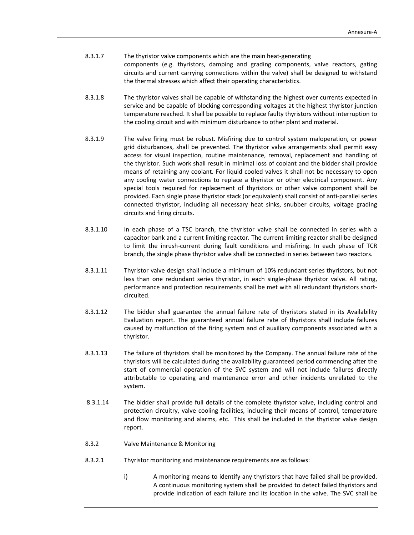| 8.3.1.7 | The thyristor valve components which are the main heat-generating                          |  |  |
|---------|--------------------------------------------------------------------------------------------|--|--|
|         | components (e.g. thyristors, damping and grading components, valve reactors, gating        |  |  |
|         | circuits and current carrying connections within the valve) shall be designed to withstand |  |  |
|         | the thermal stresses which affect their operating characteristics.                         |  |  |

- 8.3.1.8 The thyristor valves shall be capable of withstanding the highest over currents expected in service and be capable of blocking corresponding voltages at the highest thyristor junction temperature reached. It shall be possible to replace faulty thyristors without interruption to the cooling circuit and with minimum disturbance to other plant and material.
- 8.3.1.9 The valve firing must be robust. Misfiring due to control system maloperation, or power grid disturbances, shall be prevented. The thyristor valve arrangements shall permit easy access for visual inspection, routine maintenance, removal, replacement and handling of the thyristor. Such work shall result in minimal loss of coolant and the bidder shall provide means of retaining any coolant. For liquid cooled valves it shall not be necessary to open any cooling water connections to replace a thyristor or other electrical component. Any special tools required for replacement of thyristors or other valve component shall be provided. Each single phase thyristor stack (or equivalent) shall consist of anti‐parallel series connected thyristor, including all necessary heat sinks, snubber circuits, voltage grading circuits and firing circuits.
- 8.3.1.10 In each phase of a TSC branch, the thyristor valve shall be connected in series with a capacitor bank and a current limiting reactor. The current limiting reactor shall be designed to limit the inrush‐current during fault conditions and misfiring. In each phase of TCR branch, the single phase thyristor valve shall be connected in series between two reactors.
- 8.3.1.11 Thyristor valve design shall include a minimum of 10% redundant series thyristors, but not less than one redundant series thyristor, in each single-phase thyristor valve. All rating, performance and protection requirements shall be met with all redundant thyristors short‐ circuited.
- 8.3.1.12 The bidder shall guarantee the annual failure rate of thyristors stated in its Availability Evaluation report. The guaranteed annual failure rate of thyristors shall include failures caused by malfunction of the firing system and of auxiliary components associated with a thyristor.
- 8.3.1.13 The failure of thyristors shall be monitored by the Company. The annual failure rate of the thyristors will be calculated during the availability guaranteed period commencing after the start of commercial operation of the SVC system and will not include failures directly attributable to operating and maintenance error and other incidents unrelated to the system.
- 8.3.1.14 The bidder shall provide full details of the complete thyristor valve, including control and protection circuitry, valve cooling facilities, including their means of control, temperature and flow monitoring and alarms, etc. This shall be included in the thyristor valve design report.
- 8.3.2 Valve Maintenance & Monitoring
- 8.3.2.1 Thyristor monitoring and maintenance requirements are as follows:
	- i) A monitoring means to identify any thyristors that have failed shall be provided. A continuous monitoring system shall be provided to detect failed thyristors and provide indication of each failure and its location in the valve. The SVC shall be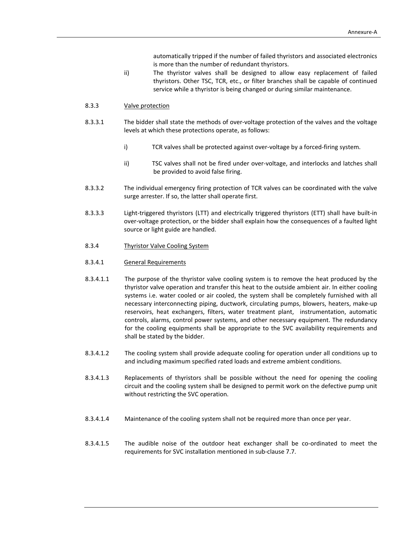automatically tripped if the number of failed thyristors and associated electronics is more than the number of redundant thyristors.

ii) The thyristor valves shall be designed to allow easy replacement of failed thyristors. Other TSC, TCR, etc., or filter branches shall be capable of continued service while a thyristor is being changed or during similar maintenance.

#### 8.3.3 Valve protection

- 8.3.3.1 The bidder shall state the methods of over-voltage protection of the valves and the voltage levels at which these protections operate, as follows:
	- i) TCR valves shall be protected against over-voltage by a forced-firing system.
	- ii) TSC valves shall not be fired under over-voltage, and interlocks and latches shall be provided to avoid false firing.
- 8.3.3.2 The individual emergency firing protection of TCR valves can be coordinated with the valve surge arrester. If so, the latter shall operate first.
- 8.3.3.3 Light‐triggered thyristors (LTT) and electrically triggered thyristors (ETT) shall have built‐in over‐voltage protection, or the bidder shall explain how the consequences of a faulted light source or light guide are handled.
- 8.3.4 Thyristor Valve Cooling System

#### 8.3.4.1 General Requirements

- 8.3.4.1.1 The purpose of the thyristor valve cooling system is to remove the heat produced by the thyristor valve operation and transfer this heat to the outside ambient air. In either cooling systems i.e. water cooled or air cooled, the system shall be completely furnished with all necessary interconnecting piping, ductwork, circulating pumps, blowers, heaters, make‐up reservoirs, heat exchangers, filters, water treatment plant, instrumentation, automatic controls, alarms, control power systems, and other necessary equipment. The redundancy for the cooling equipments shall be appropriate to the SVC availability requirements and shall be stated by the bidder.
- 8.3.4.1.2 The cooling system shall provide adequate cooling for operation under all conditions up to and including maximum specified rated loads and extreme ambient conditions.
- 8.3.4.1.3 Replacements of thyristors shall be possible without the need for opening the cooling circuit and the cooling system shall be designed to permit work on the defective pump unit without restricting the SVC operation.
- 8.3.4.1.4 Maintenance of the cooling system shall not be required more than once per year.
- 8.3.4.1.5 The audible noise of the outdoor heat exchanger shall be co-ordinated to meet the requirements for SVC installation mentioned in sub‐clause 7.7.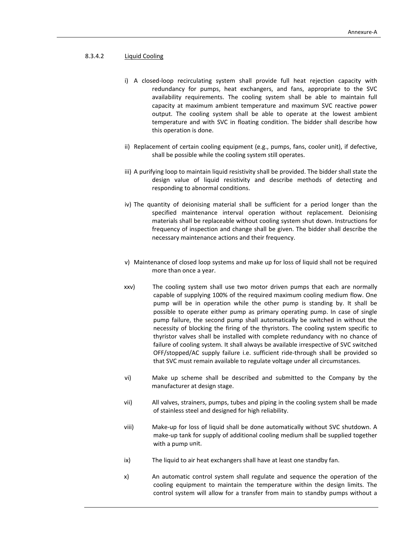# 8.3.4.2 Liquid Cooling

- i) A closed-loop recirculating system shall provide full heat rejection capacity with redundancy for pumps, heat exchangers, and fans, appropriate to the SVC availability requirements. The cooling system shall be able to maintain full capacity at maximum ambient temperature and maximum SVC reactive power output. The cooling system shall be able to operate at the lowest ambient temperature and with SVC in floating condition. The bidder shall describe how this operation is done.
- ii) Replacement of certain cooling equipment (e.g., pumps, fans, cooler unit), if defective, shall be possible while the cooling system still operates.
- iii) A purifying loop to maintain liquid resistivity shall be provided. The bidder shall state the design value of liquid resistivity and describe methods of detecting and responding to abnormal conditions.
- iv) The quantity of deionising material shall be sufficient for a period longer than the specified maintenance interval operation without replacement. Deionising materials shall be replaceable without cooling system shut down. Instructions for frequency of inspection and change shall be given. The bidder shall describe the necessary maintenance actions and their frequency.
- v) Maintenance of closed loop systems and make up for loss of liquid shall not be required more than once a year.
- xxv) The cooling system shall use two motor driven pumps that each are normally capable of supplying 100% of the required maximum cooling medium flow. One pump will be in operation while the other pump is standing by. It shall be possible to operate either pump as primary operating pump. In case of single pump failure, the second pump shall automatically be switched in without the necessity of blocking the firing of the thyristors. The cooling system specific to thyristor valves shall be installed with complete redundancy with no chance of failure of cooling system. It shall always be available irrespective of SVC switched OFF/stopped/AC supply failure i.e. sufficient ride‐through shall be provided so that SVC must remain available to regulate voltage under all circumstances.
- vi) Make up scheme shall be described and submitted to the Company by the manufacturer at design stage.
- vii) All valves, strainers, pumps, tubes and piping in the cooling system shall be made of stainless steel and designed for high reliability.
- viii) Make‐up for loss of liquid shall be done automatically without SVC shutdown. A make‐up tank for supply of additional cooling medium shall be supplied together with a pump unit.
- ix) The liquid to air heat exchangers shall have at least one standby fan.
- x) An automatic control system shall regulate and sequence the operation of the cooling equipment to maintain the temperature within the design limits. The control system will allow for a transfer from main to standby pumps without a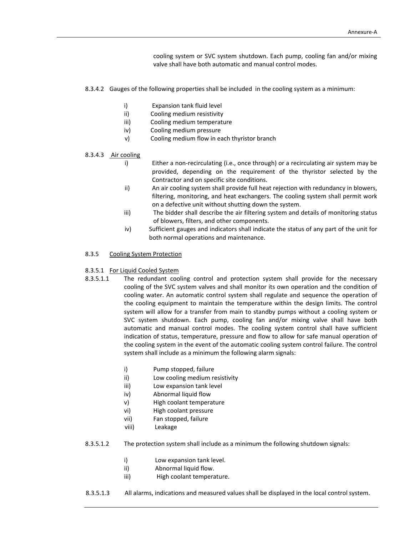cooling system or SVC system shutdown. Each pump, cooling fan and/or mixing valve shall have both automatic and manual control modes.

- 8.3.4.2 Gauges of the following properties shall be included in the cooling system as a minimum:
	- i) Expansion tank fluid level
	- ii) Cooling medium resistivity
	- iii) Cooling medium temperature
	- iv) Cooling medium pressure
	- v) Cooling medium flow in each thyristor branch

#### 8.3.4.3 Air cooling

- i) Either a non-recirculating (i.e., once through) or a recirculating air system may be provided, depending on the requirement of the thyristor selected by the Contractor and on specific site conditions.
- ii) An air cooling system shall provide full heat rejection with redundancy in blowers, filtering, monitoring, and heat exchangers. The cooling system shall permit work on a defective unit without shutting down the system.
- iii) The bidder shall describe the air filtering system and details of monitoring status of blowers, filters, and other components.
- iv) Sufficient gauges and indicators shall indicate the status of any part of the unit for both normal operations and maintenance.

#### 8.3.5 Cooling System Protection

#### 8.3.5.1 For Liquid Cooled System

- 8.3.5.1.1 The redundant cooling control and protection system shall provide for the necessary cooling of the SVC system valves and shall monitor its own operation and the condition of cooling water. An automatic control system shall regulate and sequence the operation of the cooling equipment to maintain the temperature within the design limits. The control system will allow for a transfer from main to standby pumps without a cooling system or SVC system shutdown. Each pump, cooling fan and/or mixing valve shall have both automatic and manual control modes. The cooling system control shall have sufficient indication of status, temperature, pressure and flow to allow for safe manual operation of the cooling system in the event of the automatic cooling system control failure. The control system shall include as a minimum the following alarm signals:
	- i) Pump stopped, failure
	- ii) Low cooling medium resistivity
	- iii) Low expansion tank level
	- iv) Abnormal liquid flow
	- v) High coolant temperature
	- vi) High coolant pressure
	- vii) Fan stopped, failure
	- viii) Leakage
- 8.3.5.1.2 The protection system shall include as a minimum the following shutdown signals:
	- i) Low expansion tank level.
	- ii) **Abnormal liquid flow.**
	- iii) High coolant temperature.
- 8.3.5.1.3 All alarms, indications and measured values shall be displayed in the local control system.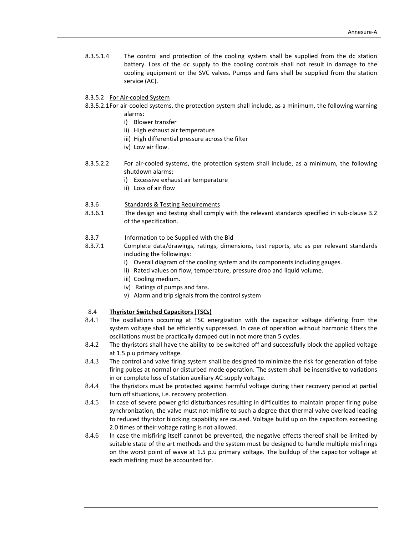- 8.3.5.1.4 The control and protection of the cooling system shall be supplied from the dc station battery. Loss of the dc supply to the cooling controls shall not result in damage to the cooling equipment or the SVC valves. Pumps and fans shall be supplied from the station service (AC).
- 8.3.5.2 For Air‐cooled System
- 8.3.5.2.1For air-cooled systems, the protection system shall include, as a minimum, the following warning alarms:
	- i) Blower transfer
	- ii) High exhaust air temperature
	- iii) High differential pressure across the filter
	- iv) Low air flow.
- 8.3.5.2.2 For air-cooled systems, the protection system shall include, as a minimum, the following shutdown alarms:
	- i) Excessive exhaust air temperature
	- ii) Loss of air flow
- 8.3.6 Standards & Testing Requirements
- 8.3.6.1 The design and testing shall comply with the relevant standards specified in sub‐clause 3.2 of the specification.
- 8.3.7 Information to be Supplied with the Bid
- 8.3.7.1 Complete data/drawings, ratings, dimensions, test reports, etc as per relevant standards including the followings:
	- i) Overall diagram of the cooling system and its components including gauges.
	- ii) Rated values on flow, temperature, pressure drop and liquid volume.
	- iii) Cooling medium.
	- iv) Ratings of pumps and fans.
	- v) Alarm and trip signals from the control system

# 8.4 **Thyristor Switched Capacitors (TSCs)**

- 8.4.1 The oscillations occurring at TSC energization with the capacitor voltage differing from the system voltage shall be efficiently suppressed. In case of operation without harmonic filters the oscillations must be practically damped out in not more than 5 cycles.
- 8.4.2 The thyristors shall have the ability to be switched off and successfully block the applied voltage at 1.5 p.u primary voltage.
- 8.4.3 The control and valve firing system shall be designed to minimize the risk for generation of false firing pulses at normal or disturbed mode operation. The system shall be insensitive to variations in or complete loss of station auxiliary AC supply voltage.
- 8.4.4 The thyristors must be protected against harmful voltage during their recovery period at partial turn off situations, i.e. recovery protection.
- 8.4.5 In case of severe power grid disturbances resulting in difficulties to maintain proper firing pulse synchronization, the valve must not misfire to such a degree that thermal valve overload leading to reduced thyristor blocking capability are caused. Voltage build up on the capacitors exceeding 2.0 times of their voltage rating is not allowed.
- 8.4.6 In case the misfiring itself cannot be prevented, the negative effects thereof shall be limited by suitable state of the art methods and the system must be designed to handle multiple misfirings on the worst point of wave at 1.5 p.u primary voltage. The buildup of the capacitor voltage at each misfiring must be accounted for.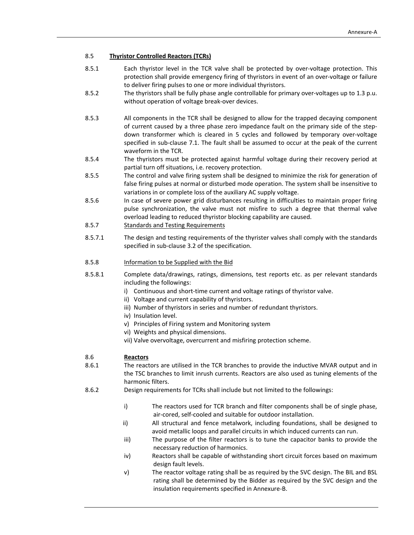# 8.5 **Thyristor Controlled Reactors (TCRs)**

- 8.5.1 Each thyristor level in the TCR valve shall be protected by over-voltage protection. This protection shall provide emergency firing of thyristors in event of an over‐voltage or failure to deliver firing pulses to one or more individual thyristors.
- 8.5.2 The thyristors shall be fully phase angle controllable for primary over-voltages up to 1.3 p.u. without operation of voltage break‐over devices.
- 8.5.3 All components in the TCR shall be designed to allow for the trapped decaying component of current caused by a three phase zero impedance fault on the primary side of the step‐ down transformer which is cleared in 5 cycles and followed by temporary over‐voltage specified in sub-clause 7.1. The fault shall be assumed to occur at the peak of the current waveform in the TCR.
- 8.5.4 The thyristors must be protected against harmful voltage during their recovery period at partial turn off situations, i.e. recovery protection.
- 8.5.5 The control and valve firing system shall be designed to minimize the risk for generation of false firing pulses at normal or disturbed mode operation. The system shall be insensitive to variations in or complete loss of the auxiliary AC supply voltage.
- 8.5.6 In case of severe power grid disturbances resulting in difficulties to maintain proper firing pulse synchronization, the valve must not misfire to such a degree that thermal valve overload leading to reduced thyristor blocking capability are caused.

# 8.5.7 Standards and Testing Requirements

8.5.7.1 The design and testing requirements of the thyrister valves shall comply with the standards specified in sub‐clause 3.2 of the specification.

#### 8.5.8 Information to be Supplied with the Bid

- 8.5.8.1 Complete data/drawings, ratings, dimensions, test reports etc. as per relevant standards including the followings:
	- i) Continuous and short-time current and voltage ratings of thyristor valve.
	- ii) Voltage and current capability of thyristors.
	- iii) Number of thyristors in series and number of redundant thyristors.
	- iv) Insulation level.
	- v) Principles of Firing system and Monitoring system
	- vi) Weights and physical dimensions.
	- vii) Valve overvoltage, overcurrent and misfiring protection scheme.

# 8.6 **Reactors**

8.6.1 The reactors are utilised in the TCR branches to provide the inductive MVAR output and in the TSC branches to limit inrush currents. Reactors are also used as tuning elements of the harmonic filters.

- 8.6.2 Design requirements for TCRs shall include but not limited to the followings:
	- i) The reactors used for TCR branch and filter components shall be of single phase, air‐cored, self‐cooled and suitable for outdoor installation.
	- ii) All structural and fence metalwork, including foundations, shall be designed to avoid metallic loops and parallel circuits in which induced currents can run.
	- iii) The purpose of the filter reactors is to tune the capacitor banks to provide the necessary reduction of harmonics.
	- iv) Reactors shall be capable of withstanding short circuit forces based on maximum design fault levels.
	- v) The reactor voltage rating shall be as required by the SVC design. The BIL and BSL rating shall be determined by the Bidder as required by the SVC design and the insulation requirements specified in Annexure‐B.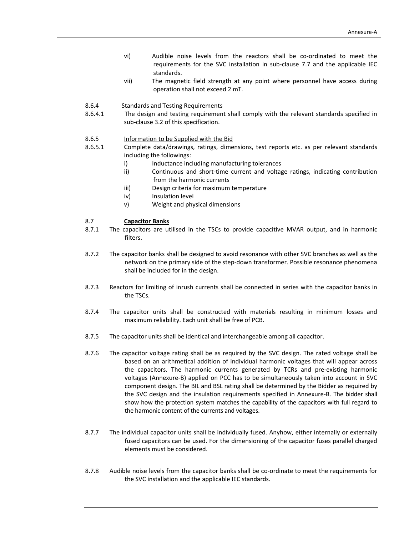- vi) Audible noise levels from the reactors shall be co-ordinated to meet the requirements for the SVC installation in sub‐clause 7.7 and the applicable IEC standards.
- vii) The magnetic field strength at any point where personnel have access during operation shall not exceed 2 mT.
- 8.6.4 Standards and Testing Requirements
- 8.6.4.1 The design and testing requirement shall comply with the relevant standards specified in sub-clause 3.2 of this specification.
- 8.6.5 Information to be Supplied with the Bid
- 8.6.5.1 Complete data/drawings, ratings, dimensions, test reports etc. as per relevant standards including the followings:
	- i) Inductance including manufacturing tolerances
	- ii) Continuous and short-time current and voltage ratings, indicating contribution from the harmonic currents
	- iii) Design criteria for maximum temperature
	- iv) Insulation level
	- v) Weight and physical dimensions

# 8.7 **Capacitor Banks**

- 8.7.1 The capacitors are utilised in the TSCs to provide capacitive MVAR output, and in harmonic filters.
- 8.7.2 The capacitor banks shall be designed to avoid resonance with other SVC branches as well as the network on the primary side of the step-down transformer. Possible resonance phenomena shall be included for in the design.
- 8.7.3 Reactors for limiting of inrush currents shall be connected in series with the capacitor banks in the TSCs.
- 8.7.4 The capacitor units shall be constructed with materials resulting in minimum losses and maximum reliability. Each unit shall be free of PCB.
- 8.7.5 The capacitor units shall be identical and interchangeable among all capacitor.
- 8.7.6 The capacitor voltage rating shall be as required by the SVC design. The rated voltage shall be based on an arithmetical addition of individual harmonic voltages that will appear across the capacitors. The harmonic currents generated by TCRs and pre-existing harmonic voltages (Annexure‐B) applied on PCC has to be simultaneously taken into account in SVC component design. The BIL and BSL rating shall be determined by the Bidder as required by the SVC design and the insulation requirements specified in Annexure‐B. The bidder shall show how the protection system matches the capability of the capacitors with full regard to the harmonic content of the currents and voltages.
- 8.7.7 The individual capacitor units shall be individually fused. Anyhow, either internally or externally fused capacitors can be used. For the dimensioning of the capacitor fuses parallel charged elements must be considered.
- 8.7.8 Audible noise levels from the capacitor banks shall be co-ordinate to meet the requirements for the SVC installation and the applicable IEC standards.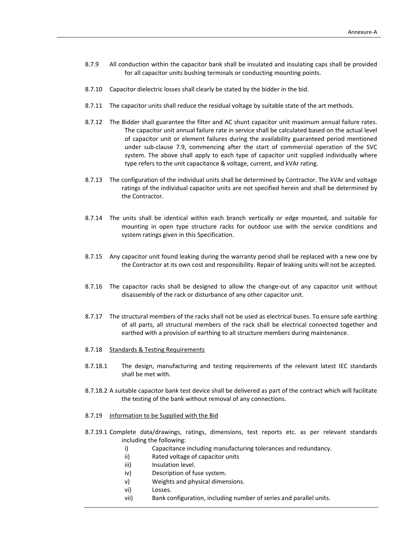- 8.7.9 All conduction within the capacitor bank shall be insulated and insulating caps shall be provided for all capacitor units bushing terminals or conducting mounting points.
- 8.7.10 Capacitor dielectric losses shall clearly be stated by the bidder in the bid.
- 8.7.11 The capacitor units shall reduce the residual voltage by suitable state of the art methods.
- 8.7.12 The Bidder shall guarantee the filter and AC shunt capacitor unit maximum annual failure rates. The capacitor unit annual failure rate in service shall be calculated based on the actual level of capacitor unit or element failures during the availability guaranteed period mentioned under sub‐clause 7.9, commencing after the start of commercial operation of the SVC system. The above shall apply to each type of capacitor unit supplied individually where type refers to the unit capacitance & voltage, current, and kVAr rating.
- 8.7.13 The configuration of the individual units shall be determined by Contractor. The kVAr and voltage ratings of the individual capacitor units are not specified herein and shall be determined by the Contractor.
- 8.7.14 The units shall be identical within each branch vertically or edge mounted, and suitable for mounting in open type structure racks for outdoor use with the service conditions and system ratings given in this Specification.
- 8.7.15 Any capacitor unit found leaking during the warranty period shall be replaced with a new one by the Contractor at its own cost and responsibility. Repair of leaking units will not be accepted.
- 8.7.16 The capacitor racks shall be designed to allow the change-out of any capacitor unit without disassembly of the rack or disturbance of any other capacitor unit.
- 8.7.17 The structural members of the racks shall not be used as electrical buses. To ensure safe earthing of all parts, all structural members of the rack shall be electrical connected together and earthed with a provision of earthing to all structure members during maintenance.
- 8.7.18 Standards & Testing Requirements
- 8.7.18.1 The design, manufacturing and testing requirements of the relevant latest IEC standards shall be met with.
- 8.7.18.2 A suitable capacitor bank test device shall be delivered as part of the contract which will facilitate the testing of the bank without removal of any connections.
- 8.7.19 Information to be Supplied with the Bid
- 8.7.19.1 Complete data/drawings, ratings, dimensions, test reports etc. as per relevant standards including the following:
	- i) Capacitance including manufacturing tolerances and redundancy.
	- ii) Rated voltage of capacitor units
	- iii) Insulation level.
	- iv) Description of fuse system.
	- v) Weights and physical dimensions.
	- vi) Losses.
	- vii) Bank configuration, including number of series and parallel units.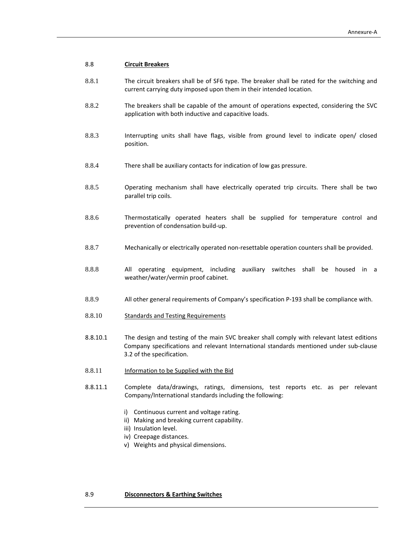- 8.8.1 The circuit breakers shall be of SF6 type. The breaker shall be rated for the switching and current carrying duty imposed upon them in their intended location.
- 8.8.2 The breakers shall be capable of the amount of operations expected, considering the SVC application with both inductive and capacitive loads.
- 8.8.3 Interrupting units shall have flags, visible from ground level to indicate open/ closed position.
- 8.8.4 There shall be auxiliary contacts for indication of low gas pressure.
- 8.8.5 Operating mechanism shall have electrically operated trip circuits. There shall be two parallel trip coils.
- 8.8.6 Thermostatically operated heaters shall be supplied for temperature control and prevention of condensation build‐up.
- 8.8.7 Mechanically or electrically operated non-resettable operation counters shall be provided.
- 8.8.8 All operating equipment, including auxiliary switches shall be housed in a weather/water/vermin proof cabinet.
- 8.8.9 All other general requirements of Company's specification P‐193 shall be compliance with.
- 8.8.10 Standards and Testing Requirements
- 8.8.10.1 The design and testing of the main SVC breaker shall comply with relevant latest editions Company specifications and relevant International standards mentioned under sub‐clause 3.2 of the specification.
- 8.8.11 Information to be Supplied with the Bid
- 8.8.11.1 Complete data/drawings, ratings, dimensions, test reports etc. as per relevant Company/International standards including the following:
	- i) Continuous current and voltage rating.
	- ii) Making and breaking current capability.
	- iii) Insulation level.
	- iv) Creepage distances.
	- v) Weights and physical dimensions.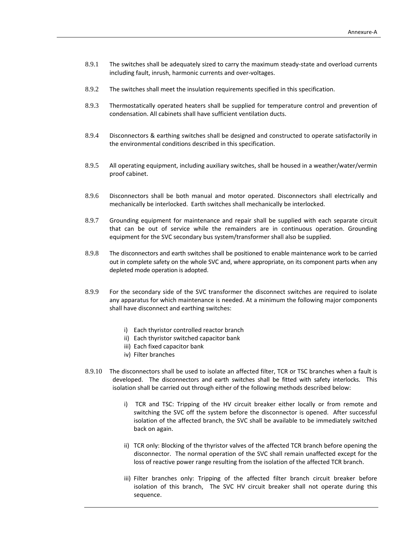- 8.9.1 The switches shall be adequately sized to carry the maximum steady-state and overload currents including fault, inrush, harmonic currents and over‐voltages.
- 8.9.2 The switches shall meet the insulation requirements specified in this specification.
- 8.9.3 Thermostatically operated heaters shall be supplied for temperature control and prevention of condensation. All cabinets shall have sufficient ventilation ducts.
- 8.9.4 Disconnectors & earthing switches shall be designed and constructed to operate satisfactorily in the environmental conditions described in this specification.
- 8.9.5 All operating equipment, including auxiliary switches, shall be housed in a weather/water/vermin proof cabinet.
- 8.9.6 Disconnectors shall be both manual and motor operated. Disconnectors shall electrically and mechanically be interlocked. Earth switches shall mechanically be interlocked.
- 8.9.7 Grounding equipment for maintenance and repair shall be supplied with each separate circuit that can be out of service while the remainders are in continuous operation. Grounding equipment for the SVC secondary bus system/transformer shall also be supplied.
- 8.9.8 The disconnectors and earth switches shall be positioned to enable maintenance work to be carried out in complete safety on the whole SVC and, where appropriate, on its component parts when any depleted mode operation is adopted.
- 8.9.9 For the secondary side of the SVC transformer the disconnect switches are required to isolate any apparatus for which maintenance is needed. At a minimum the following major components shall have disconnect and earthing switches:
	- i) Each thyristor controlled reactor branch
	- ii) Each thyristor switched capacitor bank
	- iii) Each fixed capacitor bank
	- iv) Filter branches
- 8.9.10 The disconnectors shall be used to isolate an affected filter, TCR or TSC branches when a fault is developed. The disconnectors and earth switches shall be fitted with safety interlocks. This isolation shall be carried out through either of the following methods described below:
	- i) TCR and TSC: Tripping of the HV circuit breaker either locally or from remote and switching the SVC off the system before the disconnector is opened. After successful isolation of the affected branch, the SVC shall be available to be immediately switched back on again.
	- ii) TCR only: Blocking of the thyristor valves of the affected TCR branch before opening the disconnector. The normal operation of the SVC shall remain unaffected except for the loss of reactive power range resulting from the isolation of the affected TCR branch.
	- iii) Filter branches only: Tripping of the affected filter branch circuit breaker before isolation of this branch, The SVC HV circuit breaker shall not operate during this sequence.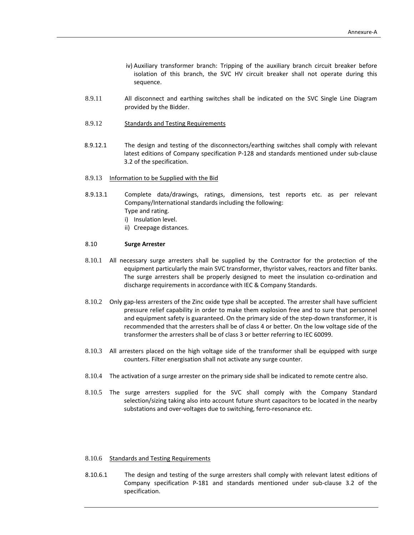- iv) Auxiliary transformer branch: Tripping of the auxiliary branch circuit breaker before isolation of this branch, the SVC HV circuit breaker shall not operate during this sequence.
- 8.9.11 All disconnect and earthing switches shall be indicated on the SVC Single Line Diagram provided by the Bidder.
- 8.9.12 Standards and Testing Requirements
- 8.9.12.1 The design and testing of the disconnectors/earthing switches shall comply with relevant latest editions of Company specification P‐128 and standards mentioned under sub‐clause 3.2 of the specification.
- 8.9.13 Information to be Supplied with the Bid
- 8.9.13.1 Complete data/drawings, ratings, dimensions, test reports etc. as per relevant Company/International standards including the following: Type and rating. i) Insulation level. ii) Creepage distances.

#### 8.10 **Surge Arrester**

- 8.10.1 All necessary surge arresters shall be supplied by the Contractor for the protection of the equipment particularly the main SVC transformer, thyristor valves, reactors and filter banks. The surge arresters shall be properly designed to meet the insulation co-ordination and discharge requirements in accordance with IEC & Company Standards.
- 8.10.2 Only gap-less arresters of the Zinc oxide type shall be accepted. The arrester shall have sufficient pressure relief capability in order to make them explosion free and to sure that personnel and equipment safety is guaranteed. On the primary side of the step-down transformer, it is recommended that the arresters shall be of class 4 or better. On the low voltage side of the transformer the arresters shall be of class 3 or better referring to IEC 60099.
- 8.10.3 All arresters placed on the high voltage side of the transformer shall be equipped with surge counters. Filter energisation shall not activate any surge counter.
- 8.10.4 The activation of a surge arrester on the primary side shall be indicated to remote centre also.
- 8.10.5 The surge arresters supplied for the SVC shall comply with the Company Standard selection/sizing taking also into account future shunt capacitors to be located in the nearby substations and over‐voltages due to switching, ferro‐resonance etc.

#### 8.10.6 Standards and Testing Requirements

8.10.6.1 The design and testing of the surge arresters shall comply with relevant latest editions of Company specification P‐181 and standards mentioned under sub‐clause 3.2 of the specification.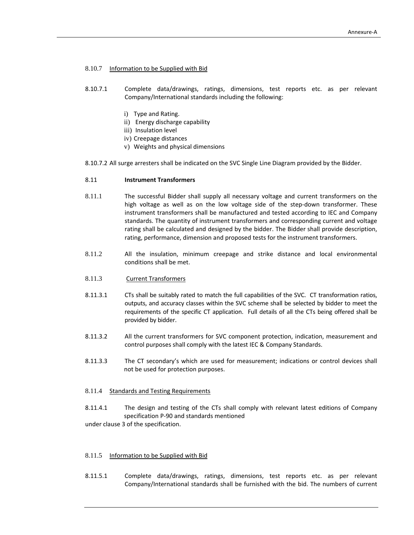# 8.10.7 Information to be Supplied with Bid

- 8.10.7.1 Complete data/drawings, ratings, dimensions, test reports etc. as per relevant Company/International standards including the following:
	- i) Type and Rating.
	- ii) Energy discharge capability
	- iii) Insulation level
	- iv) Creepage distances
	- v) Weights and physical dimensions
- 8.10.7.2 All surge arresters shall be indicated on the SVC Single Line Diagram provided by the Bidder.

#### 8.11 **Instrument Transformers**

- 8.11.1 The successful Bidder shall supply all necessary voltage and current transformers on the high voltage as well as on the low voltage side of the step-down transformer. These instrument transformers shall be manufactured and tested according to IEC and Company standards. The quantity of instrument transformers and corresponding current and voltage rating shall be calculated and designed by the bidder. The Bidder shall provide description, rating, performance, dimension and proposed tests for the instrument transformers.
- 8.11.2 All the insulation, minimum creepage and strike distance and local environmental conditions shall be met.
- 8.11.3 Current Transformers
- 8.11.3.1 CTs shall be suitably rated to match the full capabilities of the SVC. CT transformation ratios, outputs, and accuracy classes within the SVC scheme shall be selected by bidder to meet the requirements of the specific CT application. Full details of all the CTs being offered shall be provided by bidder.
- 8.11.3.2 All the current transformers for SVC component protection, indication, measurement and control purposes shall comply with the latest IEC & Company Standards.
- 8.11.3.3 The CT secondary's which are used for measurement; indications or control devices shall not be used for protection purposes.

#### 8.11.4 Standards and Testing Requirements

8.11.4.1 The design and testing of the CTs shall comply with relevant latest editions of Company specification P‐90 and standards mentioned

under clause 3 of the specification.

#### 8.11.5 Information to be Supplied with Bid

8.11.5.1 Complete data/drawings, ratings, dimensions, test reports etc. as per relevant Company/International standards shall be furnished with the bid. The numbers of current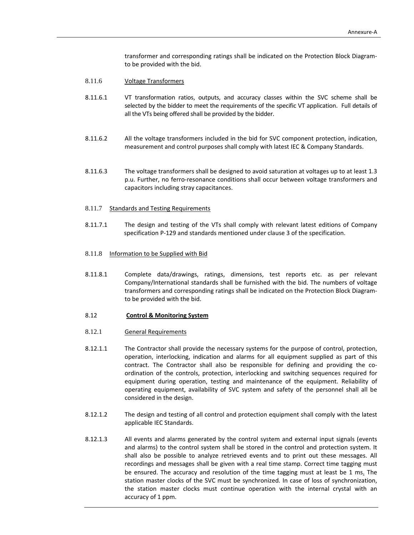transformer and corresponding ratings shall be indicated on the Protection Block Diagram‐ to be provided with the bid.

- 8.11.6 Voltage Transformers
- 8.11.6.1 VT transformation ratios, outputs, and accuracy classes within the SVC scheme shall be selected by the bidder to meet the requirements of the specific VT application. Full details of all the VTs being offered shall be provided by the bidder.
- 8.11.6.2 All the voltage transformers included in the bid for SVC component protection, indication, measurement and control purposes shall comply with latest IEC & Company Standards.
- 8.11.6.3 The voltage transformers shall be designed to avoid saturation at voltages up to at least 1.3 p.u. Further, no ferro‐resonance conditions shall occur between voltage transformers and capacitors including stray capacitances.
- 8.11.7 Standards and Testing Requirements
- 8.11.7.1 The design and testing of the VTs shall comply with relevant latest editions of Company specification P‐129 and standards mentioned under clause 3 of the specification.
- 8.11.8 Information to be Supplied with Bid
- 8.11.8.1 Complete data/drawings, ratings, dimensions, test reports etc. as per relevant Company/International standards shall be furnished with the bid. The numbers of voltage transformers and corresponding ratings shall be indicated on the Protection Block Diagram‐ to be provided with the bid.
- 8.12 **Control & Monitoring System**
- 8.12.1 General Requirements
- 8.12.1.1 The Contractor shall provide the necessary systems for the purpose of control, protection, operation, interlocking, indication and alarms for all equipment supplied as part of this contract. The Contractor shall also be responsible for defining and providing the co‐ ordination of the controls, protection, interlocking and switching sequences required for equipment during operation, testing and maintenance of the equipment. Reliability of operating equipment, availability of SVC system and safety of the personnel shall all be considered in the design.
- 8.12.1.2 The design and testing of all control and protection equipment shall comply with the latest applicable IEC Standards.
- 8.12.1.3 All events and alarms generated by the control system and external input signals (events and alarms) to the control system shall be stored in the control and protection system. It shall also be possible to analyze retrieved events and to print out these messages. All recordings and messages shall be given with a real time stamp. Correct time tagging must be ensured. The accuracy and resolution of the time tagging must at least be 1 ms. The station master clocks of the SVC must be synchronized. In case of loss of synchronization, the station master clocks must continue operation with the internal crystal with an accuracy of 1 ppm.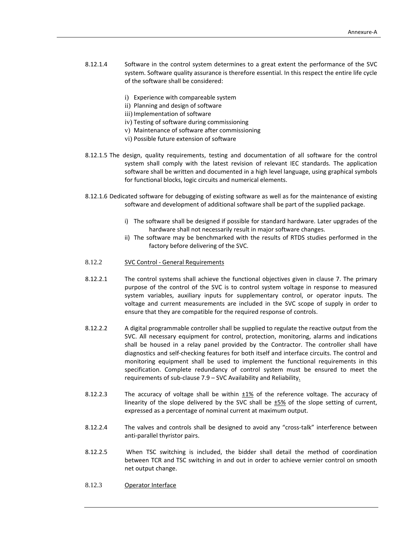- 8.12.1.4 Software in the control system determines to a great extent the performance of the SVC system. Software quality assurance is therefore essential. In this respect the entire life cycle of the software shall be considered:
	- i) Experience with compareable system
	- ii) Planning and design of software
	- iii) Implementation of software
	- iv) Testing of software during commissioning
	- v) Maintenance of software after commissioning
	- vi) Possible future extension of software
- 8.12.1.5 The design, quality requirements, testing and documentation of all software for the control system shall comply with the latest revision of relevant IEC standards. The application software shall be written and documented in a high level language, using graphical symbols for functional blocks, logic circuits and numerical elements.
- 8.12.1.6 Dedicated software for debugging of existing software as well as for the maintenance of existing software and development of additional software shall be part of the supplied package.
	- i) The software shall be designed if possible for standard hardware. Later upgrades of the hardware shall not necessarily result in major software changes.
	- ii) The software may be benchmarked with the results of RTDS studies performed in the factory before delivering of the SVC.
- 8.12.2 SVC Control ‐ General Requirements
- 8.12.2.1 The control systems shall achieve the functional objectives given in clause 7. The primary purpose of the control of the SVC is to control system voltage in response to measured system variables, auxiliary inputs for supplementary control, or operator inputs. The voltage and current measurements are included in the SVC scope of supply in order to ensure that they are compatible for the required response of controls.
- 8.12.2.2 A digital programmable controller shall be supplied to regulate the reactive output from the SVC. All necessary equipment for control, protection, monitoring, alarms and indications shall be housed in a relay panel provided by the Contractor. The controller shall have diagnostics and self‐checking features for both itself and interface circuits. The control and monitoring equipment shall be used to implement the functional requirements in this specification. Complete redundancy of control system must be ensured to meet the requirements of sub-clause 7.9 – SVC Availability and Reliability.
- 8.12.2.3 The accuracy of voltage shall be within  $\pm 1\%$  of the reference voltage. The accuracy of linearity of the slope delivered by the SVC shall be  $\pm 5\%$  of the slope setting of current, expressed as a percentage of nominal current at maximum output.
- 8.12.2.4 The valves and controls shall be designed to avoid any "cross-talk" interference between anti‐parallel thyristor pairs.
- 8.12.2.5 When TSC switching is included, the bidder shall detail the method of coordination between TCR and TSC switching in and out in order to achieve vernier control on smooth net output change.
- 8.12.3 Operator Interface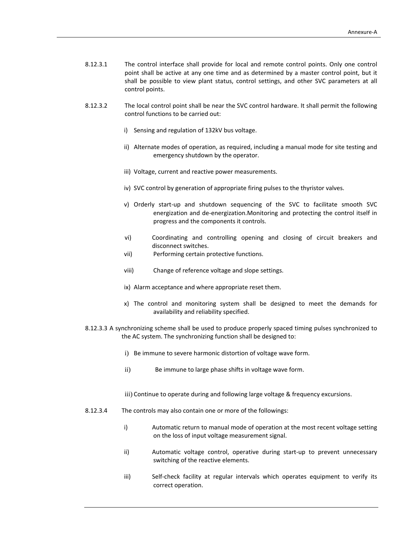- 8.12.3.1 The control interface shall provide for local and remote control points. Only one control point shall be active at any one time and as determined by a master control point, but it shall be possible to view plant status, control settings, and other SVC parameters at all control points.
- 8.12.3.2 The local control point shall be near the SVC control hardware. It shall permit the following control functions to be carried out:
	- i) Sensing and regulation of 132kV bus voltage.
	- ii) Alternate modes of operation, as required, including a manual mode for site testing and emergency shutdown by the operator.
	- iii) Voltage, current and reactive power measurements.
	- iv) SVC control by generation of appropriate firing pulses to the thyristor valves.
	- v) Orderly start‐up and shutdown sequencing of the SVC to facilitate smooth SVC energization and de‐energization.Monitoring and protecting the control itself in progress and the components it controls.
	- vi) Coordinating and controlling opening and closing of circuit breakers and disconnect switches.
	- vii) Performing certain protective functions.
	- viii) Change of reference voltage and slope settings.
	- ix) Alarm acceptance and where appropriate reset them.
	- x) The control and monitoring system shall be designed to meet the demands for availability and reliability specified.
- 8.12.3.3 A synchronizing scheme shall be used to produce properly spaced timing pulses synchronized to the AC system. The synchronizing function shall be designed to:
	- i) Be immune to severe harmonic distortion of voltage wave form.
	- ii) Be immune to large phase shifts in voltage wave form.

iii) Continue to operate during and following large voltage & frequency excursions.

- 8.12.3.4 The controls may also contain one or more of the followings:
	- i) Automatic return to manual mode of operation at the most recent voltage setting on the loss of input voltage measurement signal.
	- ii) Automatic voltage control, operative during start-up to prevent unnecessary switching of the reactive elements.
	- iii) Self-check facility at regular intervals which operates equipment to verify its correct operation.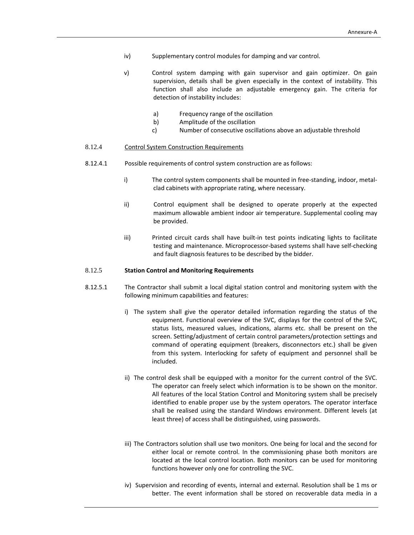- iv) Supplementary control modules for damping and var control.
- v) Control system damping with gain supervisor and gain optimizer. On gain supervision, details shall be given especially in the context of instability. This function shall also include an adjustable emergency gain. The criteria for detection of instability includes:
	- a) Frequency range of the oscillation
	- b) Amplitude of the oscillation
	- c) Number of consecutive oscillations above an adjustable threshold

# 8.12.4 Control System Construction Requirements

- 8.12.4.1 Possible requirements of control system construction are as follows:
	- i) The control system components shall be mounted in free-standing, indoor, metalclad cabinets with appropriate rating, where necessary.
	- ii) Control equipment shall be designed to operate properly at the expected maximum allowable ambient indoor air temperature. Supplemental cooling may be provided.
	- iii) Printed circuit cards shall have built-in test points indicating lights to facilitate testing and maintenance. Microprocessor‐based systems shall have self‐checking and fault diagnosis features to be described by the bidder.

#### 8.12.5 **Station Control and Monitoring Requirements**

- 8.12.5.1 The Contractor shall submit a local digital station control and monitoring system with the following minimum capabilities and features:
	- i) The system shall give the operator detailed information regarding the status of the equipment. Functional overview of the SVC, displays for the control of the SVC, status lists, measured values, indications, alarms etc. shall be present on the screen. Setting/adjustment of certain control parameters/protection settings and command of operating equipment (breakers, disconnectors etc.) shall be given from this system. Interlocking for safety of equipment and personnel shall be included.
	- ii) The control desk shall be equipped with a monitor for the current control of the SVC. The operator can freely select which information is to be shown on the monitor. All features of the local Station Control and Monitoring system shall be precisely identified to enable proper use by the system operators. The operator interface shall be realised using the standard Windows environment. Different levels (at least three) of access shall be distinguished, using passwords.
	- iii) The Contractors solution shall use two monitors. One being for local and the second for either local or remote control. In the commissioning phase both monitors are located at the local control location. Both monitors can be used for monitoring functions however only one for controlling the SVC.
	- iv) Supervision and recording of events, internal and external. Resolution shall be 1 ms or better. The event information shall be stored on recoverable data media in a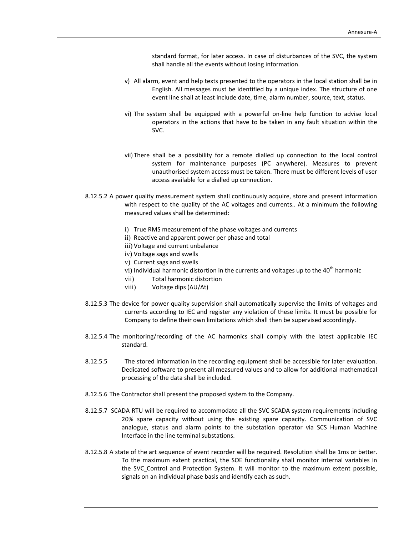standard format, for later access. In case of disturbances of the SVC, the system shall handle all the events without losing information.

- v) All alarm, event and help texts presented to the operators in the local station shall be in English. All messages must be identified by a unique index. The structure of one event line shall at least include date, time, alarm number, source, text, status.
- vi) The system shall be equipped with a powerful on‐line help function to advise local operators in the actions that have to be taken in any fault situation within the SVC.
- vii) There shall be a possibility for a remote dialled up connection to the local control system for maintenance purposes (PC anywhere). Measures to prevent unauthorised system access must be taken. There must be different levels of user access available for a dialled up connection.
- 8.12.5.2 A power quality measurement system shall continuously acquire, store and present information with respect to the quality of the AC voltages and currents.. At a minimum the following measured values shall be determined:
	- i) True RMS measurement of the phase voltages and currents
	- ii) Reactive and apparent power per phase and total
	- iii) Voltage and current unbalance
	- iv) Voltage sags and swells
	- v) Current sags and swells
	- vi) Individual harmonic distortion in the currents and voltages up to the  $40<sup>th</sup>$  harmonic
	- vii) Total harmonic distortion
	- viii) Voltage dips (∆U/∆t)
- 8.12.5.3 The device for power quality supervision shall automatically supervise the limits of voltages and currents according to IEC and register any violation of these limits. It must be possible for Company to define their own limitations which shall then be supervised accordingly.
- 8.12.5.4 The monitoring/recording of the AC harmonics shall comply with the latest applicable IEC standard.
- 8.12.5.5 The stored information in the recording equipment shall be accessible for later evaluation. Dedicated software to present all measured values and to allow for additional mathematical processing of the data shall be included.
- 8.12.5.6 The Contractor shall present the proposed system to the Company.
- 8.12.5.7 SCADA RTU will be required to accommodate all the SVC SCADA system requirements including 20% spare capacity without using the existing spare capacity. Communication of SVC analogue, status and alarm points to the substation operator via SCS Human Machine Interface in the line terminal substations.
- 8.12.5.8 A state of the art sequence of event recorder will be required. Resolution shall be 1ms or better. To the maximum extent practical, the SOE functionality shall monitor internal variables in the SVC Control and Protection System. It will monitor to the maximum extent possible, signals on an individual phase basis and identify each as such.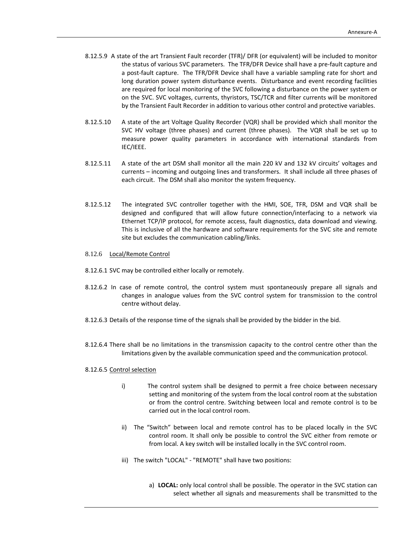- 8.12.5.9 A state of the art Transient Fault recorder (TFR)/ DFR (or equivalent) will be included to monitor the status of various SVC parameters. The TFR/DFR Device shall have a pre-fault capture and a post‐fault capture. The TFR/DFR Device shall have a variable sampling rate for short and long duration power system disturbance events. Disturbance and event recording facilities are required for local monitoring of the SVC following a disturbance on the power system or on the SVC. SVC voltages, currents, thyristors, TSC/TCR and filter currents will be monitored by the Transient Fault Recorder in addition to various other control and protective variables.
- 8.12.5.10 A state of the art Voltage Quality Recorder (VQR) shall be provided which shall monitor the SVC HV voltage (three phases) and current (three phases). The VQR shall be set up to measure power quality parameters in accordance with international standards from IEC/IEEE.
- 8.12.5.11 A state of the art DSM shall monitor all the main 220 kV and 132 kV circuits' voltages and currents – incoming and outgoing lines and transformers. It shall include all three phases of each circuit. The DSM shall also monitor the system frequency.
- 8.12.5.12 The integrated SVC controller together with the HMI, SOE, TFR, DSM and VQR shall be designed and configured that will allow future connection/interfacing to a network via Ethernet TCP/IP protocol, for remote access, fault diagnostics, data download and viewing. This is inclusive of all the hardware and software requirements for the SVC site and remote site but excludes the communication cabling/links.

#### 8.12.6 Local/Remote Control

- 8.12.6.1 SVC may be controlled either locally or remotely.
- 8.12.6.2 In case of remote control, the control system must spontaneously prepare all signals and changes in analogue values from the SVC control system for transmission to the control centre without delay.
- 8.12.6.3 Details of the response time of the signals shall be provided by the bidder in the bid.
- 8.12.6.4 There shall be no limitations in the transmission capacity to the control centre other than the limitations given by the available communication speed and the communication protocol.
- 8.12.6.5 Control selection
	- i) The control system shall be designed to permit a free choice between necessary setting and monitoring of the system from the local control room at the substation or from the control centre. Switching between local and remote control is to be carried out in the local control room.
	- ii) The "Switch" between local and remote control has to be placed locally in the SVC control room. It shall only be possible to control the SVC either from remote or from local. A key switch will be installed locally in the SVC control room.
	- iii) The switch "LOCAL" ‐ "REMOTE" shall have two positions:
		- a) **LOCAL:** only local control shall be possible. The operator in the SVC station can select whether all signals and measurements shall be transmitted to the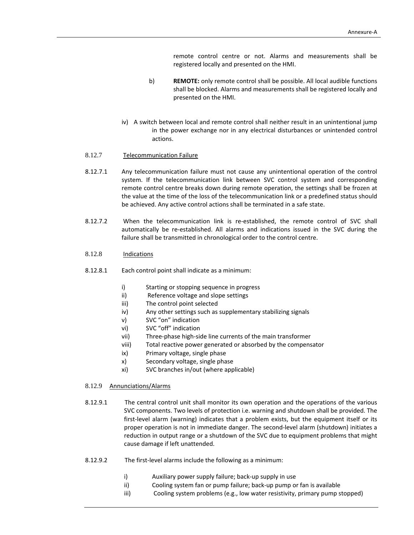remote control centre or not. Alarms and measurements shall be registered locally and presented on the HMI.

- b) **REMOTE:** only remote control shall be possible. All local audible functions shall be blocked. Alarms and measurements shall be registered locally and presented on the HMI.
- iv) A switch between local and remote control shall neither result in an unintentional jump in the power exchange nor in any electrical disturbances or unintended control actions.

#### 8.12.7 Telecommunication Failure

- 8.12.7.1 Any telecommunication failure must not cause any unintentional operation of the control system. If the telecommunication link between SVC control system and corresponding remote control centre breaks down during remote operation, the settings shall be frozen at the value at the time of the loss of the telecommunication link or a predefined status should be achieved. Any active control actions shall be terminated in a safe state.
- 8.12.7.2 When the telecommunication link is re‐established, the remote control of SVC shall automatically be re‐established. All alarms and indications issued in the SVC during the failure shall be transmitted in chronological order to the control centre.
- 8.12.8 Indications
- 8.12.8.1 Each control point shall indicate as a minimum:
	- i) Starting or stopping sequence in progress<br>ii) Reference voltage and slope settings
	- Reference voltage and slope settings
	- iii) The control point selected
	- iv) Any other settings such as supplementary stabilizing signals
	- v) SVC "on" indication
	- vi) SVC "off" indication
	- vii) Three‐phase high‐side line currents of the main transformer
	- viii) Total reactive power generated or absorbed by the compensator
	- ix) Primary voltage, single phase
	- x) Secondary voltage, single phase
	- xi) SVC branches in/out (where applicable)
- 8.12.9 Annunciations/Alarms
- 8.12.9.1 The central control unit shall monitor its own operation and the operations of the various SVC components. Two levels of protection i.e. warning and shutdown shall be provided. The first-level alarm (warning) indicates that a problem exists, but the equipment itself or its proper operation is not in immediate danger. The second-level alarm (shutdown) initiates a reduction in output range or a shutdown of the SVC due to equipment problems that might cause damage if left unattended.
- 8.12.9.2 The first-level alarms include the following as a minimum:
	- i) Auxiliary power supply failure; back-up supply in use
	- ii) Cooling system fan or pump failure; back‐up pump or fan is available
	- iii) Cooling system problems (e.g., low water resistivity, primary pump stopped)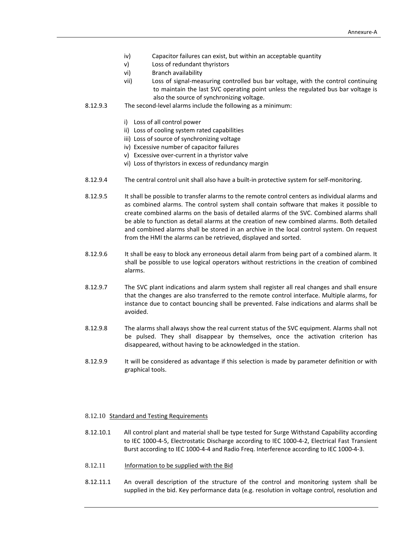- iv) Capacitor failures can exist, but within an acceptable quantity
- v) Loss of redundant thyristors
- vi) Branch availability
- vii) Loss of signal‐measuring controlled bus bar voltage, with the control continuing to maintain the last SVC operating point unless the regulated bus bar voltage is also the source of synchronizing voltage.
- 8.12.9.3 The second-level alarms include the following as a minimum:
	- i) Loss of all control power
	- ii) Loss of cooling system rated capabilities
	- iii) Loss of source of synchronizing voltage
	- iv) Excessive number of capacitor failures
	- v) Excessive over‐current in a thyristor valve
	- vi) Loss of thyristors in excess of redundancy margin
- 8.12.9.4 The central control unit shall also have a built-in protective system for self-monitoring.
- 8.12.9.5 It shall be possible to transfer alarms to the remote control centers as individual alarms and as combined alarms. The control system shall contain software that makes it possible to create combined alarms on the basis of detailed alarms of the SVC. Combined alarms shall be able to function as detail alarms at the creation of new combined alarms. Both detailed and combined alarms shall be stored in an archive in the local control system. On request from the HMI the alarms can be retrieved, displayed and sorted.
- 8.12.9.6 It shall be easy to block any erroneous detail alarm from being part of a combined alarm. It shall be possible to use logical operators without restrictions in the creation of combined alarms.
- 8.12.9.7 The SVC plant indications and alarm system shall register all real changes and shall ensure that the changes are also transferred to the remote control interface. Multiple alarms, for instance due to contact bouncing shall be prevented. False indications and alarms shall be avoided.
- 8.12.9.8 The alarms shall always show the real current status of the SVC equipment. Alarms shall not be pulsed. They shall disappear by themselves, once the activation criterion has disappeared, without having to be acknowledged in the station.
- 8.12.9.9 It will be considered as advantage if this selection is made by parameter definition or with graphical tools.

#### 8.12.10 Standard and Testing Requirements

- 8.12.10.1 All control plant and material shall be type tested for Surge Withstand Capability according to IEC 1000‐4‐5, Electrostatic Discharge according to IEC 1000‐4‐2, Electrical Fast Transient Burst according to IEC 1000‐4‐4 and Radio Freq. Interference according to IEC 1000‐4‐3.
- 8.12.11 Information to be supplied with the Bid
- 8.12.11.1 An overall description of the structure of the control and monitoring system shall be supplied in the bid. Key performance data (e.g. resolution in voltage control, resolution and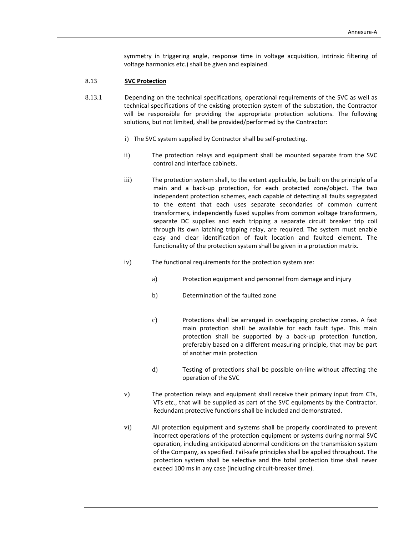symmetry in triggering angle, response time in voltage acquisition, intrinsic filtering of voltage harmonics etc.) shall be given and explained.

#### 8.13 **SVC Protection**

- 8.13.1 Depending on the technical specifications, operational requirements of the SVC as well as technical specifications of the existing protection system of the substation, the Contractor will be responsible for providing the appropriate protection solutions. The following solutions, but not limited, shall be provided/performed by the Contractor:
	- i) The SVC system supplied by Contractor shall be self‐protecting.
	- ii) The protection relays and equipment shall be mounted separate from the SVC control and interface cabinets.
	- iii) The protection system shall, to the extent applicable, be built on the principle of a main and a back‐up protection, for each protected zone/object. The two independent protection schemes, each capable of detecting all faults segregated to the extent that each uses separate secondaries of common current transformers, independently fused supplies from common voltage transformers, separate DC supplies and each tripping a separate circuit breaker trip coil through its own latching tripping relay, are required. The system must enable easy and clear identification of fault location and faulted element. The functionality of the protection system shall be given in a protection matrix.
	- iv) The functional requirements for the protection system are:
		- a) Protection equipment and personnel from damage and injury
		- b) Determination of the faulted zone
		- c) Protections shall be arranged in overlapping protective zones. A fast main protection shall be available for each fault type. This main protection shall be supported by a back‐up protection function, preferably based on a different measuring principle, that may be part of another main protection
		- d) Testing of protections shall be possible on‐line without affecting the operation of the SVC
	- v) The protection relays and equipment shall receive their primary input from CTs, VTs etc., that will be supplied as part of the SVC equipments by the Contractor. Redundant protective functions shall be included and demonstrated.
	- vi) All protection equipment and systems shall be properly coordinated to prevent incorrect operations of the protection equipment or systems during normal SVC operation, including anticipated abnormal conditions on the transmission system of the Company, as specified. Fail‐safe principles shall be applied throughout. The protection system shall be selective and the total protection time shall never exceed 100 ms in any case (including circuit‐breaker time).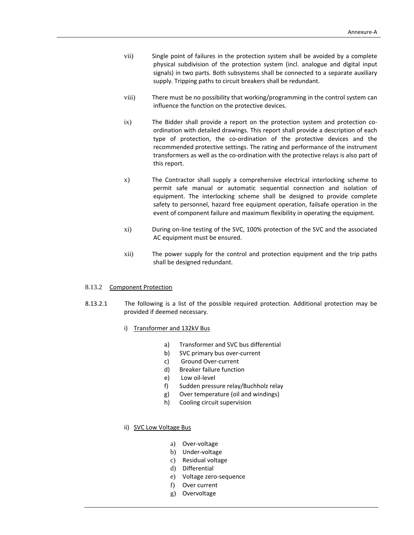- vii) Single point of failures in the protection system shall be avoided by a complete physical subdivision of the protection system (incl. analogue and digital input signals) in two parts. Both subsystems shall be connected to a separate auxiliary supply. Tripping paths to circuit breakers shall be redundant.
- viii) There must be no possibility that working/programming in the control system can influence the function on the protective devices.
- ix) The Bidder shall provide a report on the protection system and protection coordination with detailed drawings. This report shall provide a description of each type of protection, the co‐ordination of the protective devices and the recommended protective settings. The rating and performance of the instrument transformers as well as the co‐ordination with the protective relays is also part of this report.
- x) The Contractor shall supply a comprehensive electrical interlocking scheme to permit safe manual or automatic sequential connection and isolation of equipment. The interlocking scheme shall be designed to provide complete safety to personnel, hazard free equipment operation, failsafe operation in the event of component failure and maximum flexibility in operating the equipment.
- xi) During on‐line testing of the SVC, 100% protection of the SVC and the associated AC equipment must be ensured.
- xii) The power supply for the control and protection equipment and the trip paths shall be designed redundant.

#### 8.13.2 Component Protection

- 8.13.2.1 The following is a list of the possible required protection. Additional protection may be provided if deemed necessary.
	- i) Transformer and 132kV Bus
		- a) Transformer and SVC bus differential
		- b) SVC primary bus over‐current
		- c) Ground Over‐current
		- d) Breaker failure function
		- e) Low oil‐level
		- f) Sudden pressure relay/Buchholz relay
		- g) Over temperature (oil and windings)
		- h) Cooling circuit supervision
	- ii) SVC Low Voltage Bus
		- a) Over‐voltage
		- b) Under‐voltage
		- c) Residual voltage
		- d) Differential
		- e) Voltage zero‐sequence
		- f) Over current
		- g) Overvoltage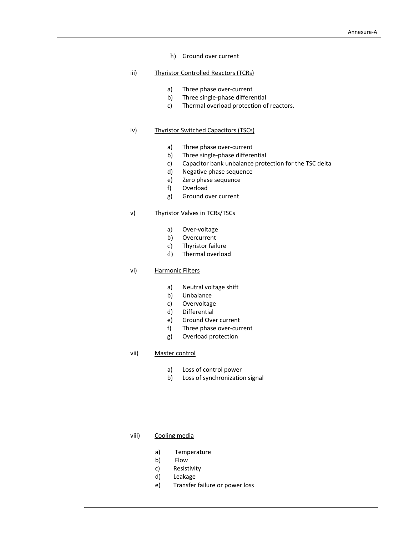- h) Ground over current
- iii) Thyristor Controlled Reactors (TCRs)
	- a) Three phase over-current
	- b) Three single‐phase differential
	- c) Thermal overload protection of reactors.

# iv) Thyristor Switched Capacitors (TSCs)

- a) Three phase over-current
- b) Three single‐phase differential
- c) Capacitor bank unbalance protection for the TSC delta
- d) Negative phase sequence
- e) Zero phase sequence
- f) Overload
- g) Ground over current

# v) Thyristor Valves in TCRs/TSCs

- a) Over‐voltage
- b) Overcurrent
- c) Thyristor failure
- d) Thermal overload

#### vi) Harmonic Filters

- a) Neutral voltage shift
- b) Unbalance
- c) Overvoltage
- d) Differential
- e) Ground Over current
- f) Three phase over‐current
- g) Overload protection

# vii) Master control

- a) Loss of control power
- b) Loss of synchronization signal
- viii) Cooling media
	- a) Temperature
	- b) Flow
	- c) Resistivity
	- d) Leakage
	- e) Transfer failure or power loss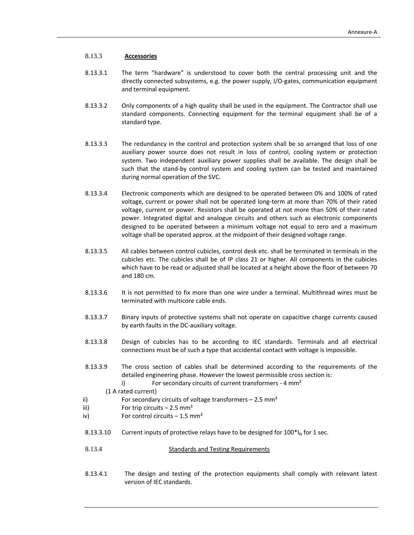# 8.13.3 **Accessories**

- 8.13.3.1 The term "hardware" is understood to cover both the central processing unit and the directly connected subsystems, e.g. the power supply, I/O‐gates, communication equipment and terminal equipment.
- 8.13.3.2 Only components of a high quality shall be used in the equipment. The Contractor shall use standard components. Connecting equipment for the terminal equipment shall be of a standard type.
- 8.13.3.3 The redundancy in the control and protection system shall be so arranged that loss of one auxiliary power source does not result in loss of control, cooling system or protection system. Two independent auxiliary power supplies shall be available. The design shall be such that the stand‐by control system and cooling system can be tested and maintained during normal operation of the SVC.
- 8.13.3.4 Electronic components which are designed to be operated between 0% and 100% of rated voltage, current or power shall not be operated long‐term at more than 70% of their rated voltage, current or power. Resistors shall be operated at not more than 50% of their rated power. Integrated digital and analogue circuits and others such as electronic components designed to be operated between a minimum voltage not equal to zero and a maximum voltage shall be operated approx. at the midpoint of their designed voltage range.
- 8.13.3.5 All cables between control cubicles, control desk etc. shall be terminated in terminals in the cubicles etc. The cubicles shall be of IP class 21 or higher. All components in the cubicles which have to be read or adjusted shall be located at a height above the floor of between 70 and 180 cm.
- 8.13.3.6 It is not permitted to fix more than one wire under a terminal. Multithread wires must be terminated with multicore cable ends.
- 8.13.3.7 Binary inputs of protective systems shall not operate on capacitive charge currents caused by earth faults in the DC‐auxiliary voltage.
- 8.13.3.8 Design of cubicles has to be according to IEC standards. Terminals and all electrical connections must be of such a type that accidental contact with voltage is impossible.
- 8.13.3.9 The cross section of cables shall be determined according to the requirements of the detailed engineering phase. However the lowest permissible cross section is:
	- i) For secondary circuits of current transformers 4 mm<sup>2</sup>

(1 A rated current)

- ii) For secondary circuits of voltage transformers  $-2.5$  mm<sup>2</sup>
- iii) For trip circuits  $-2.5$  mm<sup>2</sup>
- iv) For control circuits  $-1.5$  mm<sup>2</sup>
- 8.13.3.10 Current inputs of protective relays have to be designed for  $100^*I_N$  for 1 sec.
- 8.13.4 **Standards and Testing Requirements**
- 8.13.4.1 The design and testing of the protection equipments shall comply with relevant latest version of IEC standards.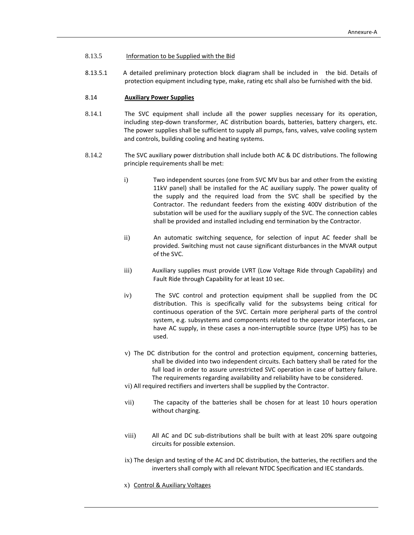#### 8.13.5 Information to be Supplied with the Bid

8.13.5.1 A detailed preliminary protection block diagram shall be included in the bid. Details of protection equipment including type, make, rating etc shall also be furnished with the bid.

# 8.14 **Auxiliary Power Supplies**

- 8.14.1 The SVC equipment shall include all the power supplies necessary for its operation, including step-down transformer, AC distribution boards, batteries, battery chargers, etc. The power supplies shall be sufficient to supply all pumps, fans, valves, valve cooling system and controls, building cooling and heating systems.
- 8.14.2 The SVC auxiliary power distribution shall include both AC & DC distributions. The following principle requirements shall be met:
	- i) Two independent sources (one from SVC MV bus bar and other from the existing 11kV panel) shall be installed for the AC auxiliary supply. The power quality of the supply and the required load from the SVC shall be specified by the Contractor. The redundant feeders from the existing 400V distribution of the substation will be used for the auxiliary supply of the SVC. The connection cables shall be provided and installed including end termination by the Contractor.
	- ii) An automatic switching sequence, for selection of input AC feeder shall be provided. Switching must not cause significant disturbances in the MVAR output of the SVC.
	- iii) Auxiliary supplies must provide LVRT (Low Voltage Ride through Capability) and Fault Ride through Capability for at least 10 sec.
	- iv) The SVC control and protection equipment shall be supplied from the DC distribution. This is specifically valid for the subsystems being critical for continuous operation of the SVC. Certain more peripheral parts of the control system, e.g. subsystems and components related to the operator interfaces, can have AC supply, in these cases a non-interruptible source (type UPS) has to be used.
	- v) The DC distribution for the control and protection equipment, concerning batteries, shall be divided into two independent circuits. Each battery shall be rated for the full load in order to assure unrestricted SVC operation in case of battery failure. The requirements regarding availability and reliability have to be considered.
	- vi) All required rectifiers and inverters shall be supplied by the Contractor.
	- vii) The capacity of the batteries shall be chosen for at least 10 hours operation without charging.
	- viii) All AC and DC sub-distributions shall be built with at least 20% spare outgoing circuits for possible extension.
	- ix) The design and testing of the AC and DC distribution, the batteries, the rectifiers and the inverters shall comply with all relevant NTDC Specification and IEC standards.
	- x) Control & Auxiliary Voltages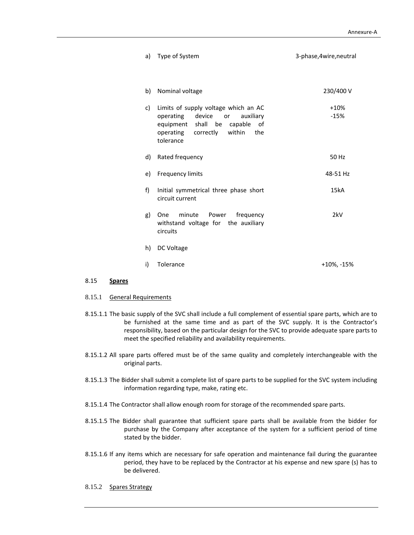| a) | Type of System                                                                                                                                                                | 3-phase, 4wire, neutral |
|----|-------------------------------------------------------------------------------------------------------------------------------------------------------------------------------|-------------------------|
| b) | Nominal voltage                                                                                                                                                               | 230/400 V               |
| c) | Limits of supply voltage which an AC<br>operating<br>device<br>auxiliary<br>or<br>equipment shall<br>be<br>capable of<br>correctly<br>within<br>the<br>operating<br>tolerance | $+10%$<br>$-15%$        |
| d) | Rated frequency                                                                                                                                                               | 50 Hz                   |
| e) | <b>Frequency limits</b>                                                                                                                                                       | 48-51 Hz                |
| f) | Initial symmetrical three phase short<br>circuit current                                                                                                                      | 15kA                    |
| g) | One<br>minute<br>frequency<br>Power<br>withstand voltage for the auxiliary<br>circuits                                                                                        | 2kV                     |
| h) | DC Voltage                                                                                                                                                                    |                         |
| i) | Tolerance                                                                                                                                                                     | +10%, -15%              |

# 8.15 **Spares**

- 8.15.1 General Requirements
- 8.15.1.1 The basic supply of the SVC shall include a full complement of essential spare parts, which are to be furnished at the same time and as part of the SVC supply. It is the Contractor's responsibility, based on the particular design for the SVC to provide adequate spare parts to meet the specified reliability and availability requirements.
- 8.15.1.2 All spare parts offered must be of the same quality and completely interchangeable with the original parts.
- 8.15.1.3 The Bidder shall submit a complete list of spare parts to be supplied for the SVC system including information regarding type, make, rating etc.
- 8.15.1.4 The Contractor shall allow enough room for storage of the recommended spare parts.
- 8.15.1.5 The Bidder shall guarantee that sufficient spare parts shall be available from the bidder for purchase by the Company after acceptance of the system for a sufficient period of time stated by the bidder.
- 8.15.1.6 If any items which are necessary for safe operation and maintenance fail during the guarantee period, they have to be replaced by the Contractor at his expense and new spare (s) has to be delivered.
- 8.15.2 Spares Strategy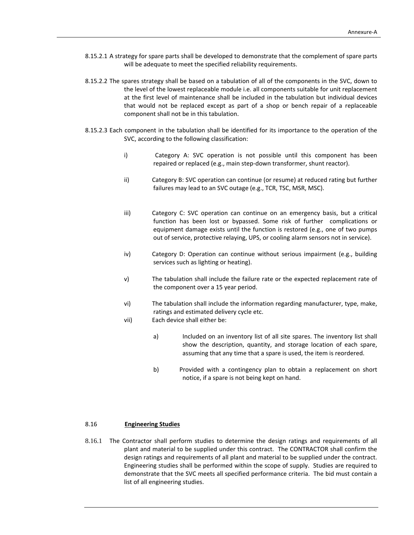- 8.15.2.1 A strategy for spare parts shall be developed to demonstrate that the complement of spare parts will be adequate to meet the specified reliability requirements.
- 8.15.2.2 The spares strategy shall be based on a tabulation of all of the components in the SVC, down to the level of the lowest replaceable module i.e. all components suitable for unit replacement at the first level of maintenance shall be included in the tabulation but individual devices that would not be replaced except as part of a shop or bench repair of a replaceable component shall not be in this tabulation.
- 8.15.2.3 Each component in the tabulation shall be identified for its importance to the operation of the SVC, according to the following classification:
	- i) Category A: SVC operation is not possible until this component has been repaired or replaced (e.g., main step‐down transformer, shunt reactor).
	- ii) Category B: SVC operation can continue (or resume) at reduced rating but further failures may lead to an SVC outage (e.g., TCR, TSC, MSR, MSC).
	- iii) Category C: SVC operation can continue on an emergency basis, but a critical function has been lost or bypassed. Some risk of further complications or equipment damage exists until the function is restored (e.g., one of two pumps out of service, protective relaying, UPS, or cooling alarm sensors not in service).
	- iv) Category D: Operation can continue without serious impairment (e.g., building services such as lighting or heating).
	- v) The tabulation shall include the failure rate or the expected replacement rate of the component over a 15 year period.
	- vi) The tabulation shall include the information regarding manufacturer, type, make, ratings and estimated delivery cycle etc.
	- vii) Each device shall either be:
		- a) Included on an inventory list of all site spares. The inventory list shall show the description, quantity, and storage location of each spare, assuming that any time that a spare is used, the item is reordered.
		- b) Provided with a contingency plan to obtain a replacement on short notice, if a spare is not being kept on hand.

#### 8.16 **Engineering Studies**

8.16.1 The Contractor shall perform studies to determine the design ratings and requirements of all plant and material to be supplied under this contract. The CONTRACTOR shall confirm the design ratings and requirements of all plant and material to be supplied under the contract. Engineering studies shall be performed within the scope of supply. Studies are required to demonstrate that the SVC meets all specified performance criteria. The bid must contain a list of all engineering studies.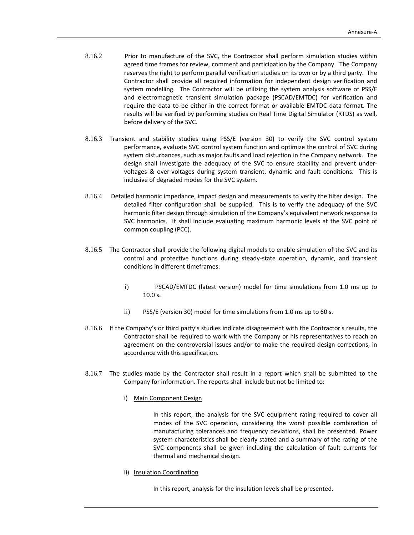- 8.16.2 Prior to manufacture of the SVC, the Contractor shall perform simulation studies within agreed time frames for review, comment and participation by the Company. The Company reserves the right to perform parallel verification studies on its own or by a third party. The Contractor shall provide all required information for independent design verification and system modelling. The Contractor will be utilizing the system analysis software of PSS/E and electromagnetic transient simulation package (PSCAD/EMTDC) for verification and require the data to be either in the correct format or available EMTDC data format. The results will be verified by performing studies on Real Time Digital Simulator (RTDS) as well, before delivery of the SVC.
- 8.16.3 Transient and stability studies using PSS/E (version 30) to verify the SVC control system performance, evaluate SVC control system function and optimize the control of SVC during system disturbances, such as major faults and load rejection in the Company network. The design shall investigate the adequacy of the SVC to ensure stability and prevent under‐ voltages & over-voltages during system transient, dynamic and fault conditions. This is inclusive of degraded modes for the SVC system.
- 8.16.4 Detailed harmonic impedance, impact design and measurements to verify the filter design. The detailed filter configuration shall be supplied. This is to verify the adequacy of the SVC harmonic filter design through simulation of the Company's equivalent network response to SVC harmonics. It shall include evaluating maximum harmonic levels at the SVC point of common coupling (PCC).
- 8.16.5 The Contractor shall provide the following digital models to enable simulation of the SVC and its control and protective functions during steady‐state operation, dynamic, and transient conditions in different timeframes:
	- i) PSCAD/EMTDC (latest version) model for time simulations from 1.0 ms up to 10.0 s.
	- ii) PSS/E (version 30) model for time simulations from 1.0 ms up to 60 s.
- 8.16.6 If the Company's or third party's studies indicate disagreement with the Contractor's results, the Contractor shall be required to work with the Company or his representatives to reach an agreement on the controversial issues and/or to make the required design corrections, in accordance with this specification.
- 8.16.7 The studies made by the Contractor shall result in a report which shall be submitted to the Company for information. The reports shall include but not be limited to:
	- i) Main Component Design

In this report, the analysis for the SVC equipment rating required to cover all modes of the SVC operation, considering the worst possible combination of manufacturing tolerances and frequency deviations, shall be presented. Power system characteristics shall be clearly stated and a summary of the rating of the SVC components shall be given including the calculation of fault currents for thermal and mechanical design.

ii) Insulation Coordination

In this report, analysis for the insulation levels shall be presented.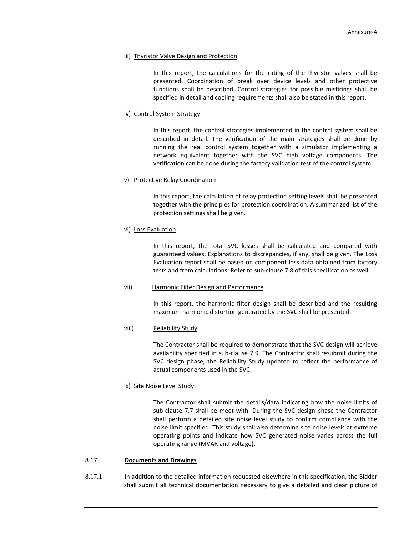#### iii) Thyristor Valve Design and Protection

In this report, the calculations for the rating of the thyristor valves shall be presented. Coordination of break over device levels and other protective functions shall be described. Control strategies for possible misfirings shall be specified in detail and cooling requirements shall also be stated in this report.

#### iv) Control System Strategy

In this report, the control strategies implemented in the control system shall be described in detail. The verification of the main strategies shall be done by running the real control system together with a simulator implementing a network equivalent together with the SVC high voltage components. The verification can be done during the factory validation test of the control system

#### v) Protective Relay Coordination

In this report, the calculation of relay protection setting levels shall be presented together with the principles for protection coordination. A summarized list of the protection settings shall be given.

#### vi) Loss Evaluation

In this report, the total SVC losses shall be calculated and compared with guaranteed values. Explanations to discrepancies, if any, shall be given. The Loss Evaluation report shall be based on component loss data obtained from factory tests and from calculations. Refer to sub‐clause 7.8 of this specification as well.

#### vii) Harmonic Filter Design and Performance

In this report, the harmonic filter design shall be described and the resulting maximum harmonic distortion generated by the SVC shall be presented.

# viii) Reliability Study

The Contractor shall be required to demonstrate that the SVC design will achieve availability specified in sub-clause 7.9. The Contractor shall resubmit during the SVC design phase, the Reliability Study updated to reflect the performance of actual components used in the SVC.

#### ix) Site Noise Level Study

The Contractor shall submit the details/data indicating how the noise limits of sub‐clause 7.7 shall be meet with. During the SVC design phase the Contractor shall perform a detailed site noise level study to confirm compliance with the noise limit specified. This study shall also determine site noise levels at extreme operating points and indicate how SVC generated noise varies across the full operating range (MVAR and voltage).

#### 8.17 **Documents and Drawings**

8.17.1 In addition to the detailed information requested elsewhere in this specification, the Bidder shall submit all technical documentation necessary to give a detailed and clear picture of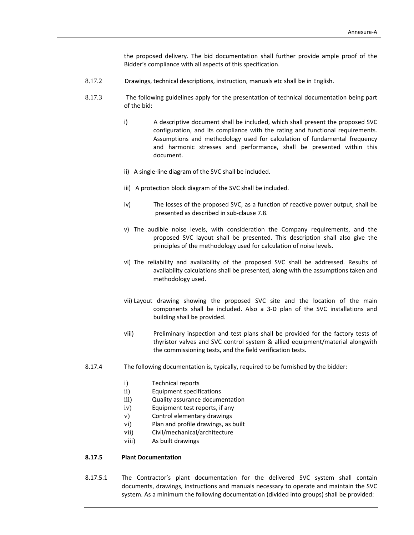the proposed delivery. The bid documentation shall further provide ample proof of the Bidder's compliance with all aspects of this specification.

- 8.17.2 Drawings, technical descriptions, instruction, manuals etc shall be in English.
- 8.17.3 The following guidelines apply for the presentation of technical documentation being part of the bid:
	- i) A descriptive document shall be included, which shall present the proposed SVC configuration, and its compliance with the rating and functional requirements. Assumptions and methodology used for calculation of fundamental frequency and harmonic stresses and performance, shall be presented within this document.
	- ii) A single‐line diagram of the SVC shall be included.
	- iii) A protection block diagram of the SVC shall be included.
	- iv) The losses of the proposed SVC, as a function of reactive power output, shall be presented as described in sub‐clause 7.8.
	- v) The audible noise levels, with consideration the Company requirements, and the proposed SVC layout shall be presented. This description shall also give the principles of the methodology used for calculation of noise levels.
	- vi) The reliability and availability of the proposed SVC shall be addressed. Results of availability calculations shall be presented, along with the assumptions taken and methodology used.
	- vii) Layout drawing showing the proposed SVC site and the location of the main components shall be included. Also a 3‐D plan of the SVC installations and building shall be provided.
	- viii) Preliminary inspection and test plans shall be provided for the factory tests of thyristor valves and SVC control system & allied equipment/material alongwith the commissioning tests, and the field verification tests.
- 8.17.4 The following documentation is, typically, required to be furnished by the bidder:
	- i) Technical reports
	- ii) Equipment specifications
	- iii) Quality assurance documentation
	- iv) Equipment test reports, if any
	- v) Control elementary drawings
	- vi) Plan and profile drawings, as built
	- vii) Civil/mechanical/architecture
	- viii) As built drawings

# **8.17.5 Plant Documentation**

8.17.5.1 The Contractor's plant documentation for the delivered SVC system shall contain documents, drawings, instructions and manuals necessary to operate and maintain the SVC system. As a minimum the following documentation (divided into groups) shall be provided: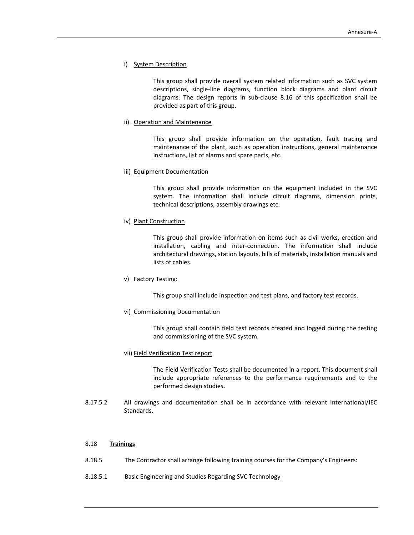#### i) System Description

This group shall provide overall system related information such as SVC system descriptions, single‐line diagrams, function block diagrams and plant circuit diagrams. The design reports in sub‐clause 8.16 of this specification shall be provided as part of this group.

#### ii) Operation and Maintenance

This group shall provide information on the operation, fault tracing and maintenance of the plant, such as operation instructions, general maintenance instructions, list of alarms and spare parts, etc.

#### iii) Equipment Documentation

This group shall provide information on the equipment included in the SVC system. The information shall include circuit diagrams, dimension prints, technical descriptions, assembly drawings etc.

#### iv) Plant Construction

This group shall provide information on items such as civil works, erection and installation, cabling and inter‐connection. The information shall include architectural drawings, station layouts, bills of materials, installation manuals and lists of cables.

#### v) Factory Testing:

This group shall include Inspection and test plans, and factory test records.

#### vi) Commissioning Documentation

This group shall contain field test records created and logged during the testing and commissioning of the SVC system.

#### vii) Field Verification Test report

The Field Verification Tests shall be documented in a report. This document shall include appropriate references to the performance requirements and to the performed design studies.

8.17.5.2 All drawings and documentation shall be in accordance with relevant International/IEC Standards.

# 8.18 **Trainings**

- 8.18.5 The Contractor shall arrange following training courses for the Company's Engineers:
- 8.18.5.1 Basic Engineering and Studies Regarding SVC Technology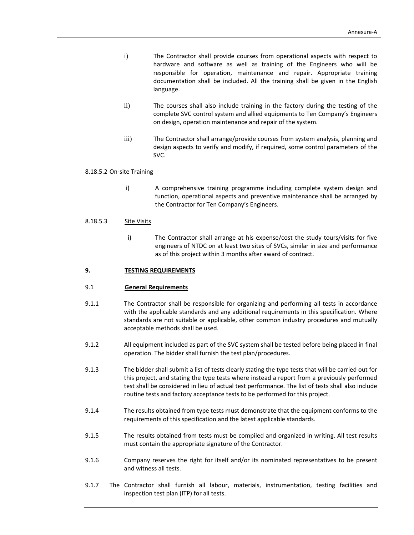- i) The Contractor shall provide courses from operational aspects with respect to hardware and software as well as training of the Engineers who will be responsible for operation, maintenance and repair. Appropriate training documentation shall be included. All the training shall be given in the English language.
- ii) The courses shall also include training in the factory during the testing of the complete SVC control system and allied equipments to Ten Company's Engineers on design, operation maintenance and repair of the system.
- iii) The Contractor shall arrange/provide courses from system analysis, planning and design aspects to verify and modify, if required, some control parameters of the SVC.

#### 8.18.5.2 On‐site Training

i) **A** comprehensive training programme including complete system design and function, operational aspects and preventive maintenance shall be arranged by the Contractor for Ten Company's Engineers.

#### 8.18.5.3 Site Visits

i) The Contractor shall arrange at his expense/cost the study tours/visits for five engineers of NTDC on at least two sites of SVCs, similar in size and performance as of this project within 3 months after award of contract.

#### **9. TESTING REQUIREMENTS**

#### 9.1 **General Requirements**

- 9.1.1 The Contractor shall be responsible for organizing and performing all tests in accordance with the applicable standards and any additional requirements in this specification. Where standards are not suitable or applicable, other common industry procedures and mutually acceptable methods shall be used.
- 9.1.2 All equipment included as part of the SVC system shall be tested before being placed in final operation. The bidder shall furnish the test plan/procedures.
- 9.1.3 The bidder shall submit a list of tests clearly stating the type tests that will be carried out for this project, and stating the type tests where instead a report from a previously performed test shall be considered in lieu of actual test performance. The list of tests shall also include routine tests and factory acceptance tests to be performed for this project.
- 9.1.4 The results obtained from type tests must demonstrate that the equipment conforms to the requirements of this specification and the latest applicable standards.
- 9.1.5 The results obtained from tests must be compiled and organized in writing. All test results must contain the appropriate signature of the Contractor.
- 9.1.6 Company reserves the right for itself and/or its nominated representatives to be present and witness all tests.
- 9.1.7 The Contractor shall furnish all labour, materials, instrumentation, testing facilities and inspection test plan (ITP) for all tests.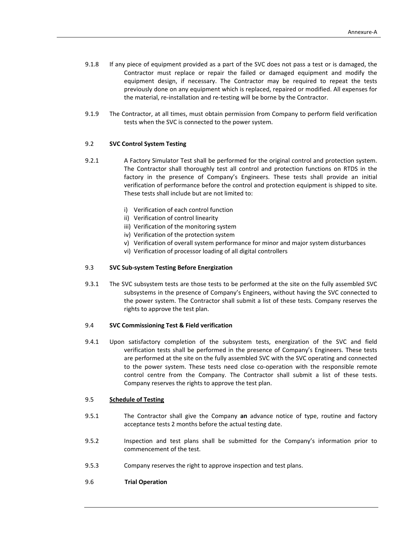- 9.1.8 If any piece of equipment provided as a part of the SVC does not pass a test or is damaged, the Contractor must replace or repair the failed or damaged equipment and modify the equipment design, if necessary. The Contractor may be required to repeat the tests previously done on any equipment which is replaced, repaired or modified. All expenses for the material, re‐installation and re‐testing will be borne by the Contractor.
- 9.1.9 The Contractor, at all times, must obtain permission from Company to perform field verification tests when the SVC is connected to the power system.

#### 9.2 **SVC Control System Testing**

- 9.2.1 A Factory Simulator Test shall be performed for the original control and protection system. The Contractor shall thoroughly test all control and protection functions on RTDS in the factory in the presence of Company's Engineers. These tests shall provide an initial verification of performance before the control and protection equipment is shipped to site. These tests shall include but are not limited to:
	- i) Verification of each control function
	- ii) Verification of control linearity
	- iii) Verification of the monitoring system
	- iv) Verification of the protection system
	- v) Verification of overall system performance for minor and major system disturbances
	- vi) Verification of processor loading of all digital controllers

## 9.3 **SVC Sub‐system Testing Before Energization**

9.3.1 The SVC subsystem tests are those tests to be performed at the site on the fully assembled SVC subsystems in the presence of Company's Engineers, without having the SVC connected to the power system. The Contractor shall submit a list of these tests. Company reserves the rights to approve the test plan.

#### 9.4 **SVC Commissioning Test & Field verification**

9.4.1 Upon satisfactory completion of the subsystem tests, energization of the SVC and field verification tests shall be performed in the presence of Company's Engineers. These tests are performed at the site on the fully assembled SVC with the SVC operating and connected to the power system. These tests need close co-operation with the responsible remote control centre from the Company. The Contractor shall submit a list of these tests. Company reserves the rights to approve the test plan.

### 9.5 **Schedule of Testing**

- 9.5.1 The Contractor shall give the Company **an** advance notice of type, routine and factory acceptance tests 2 months before the actual testing date.
- 9.5.2 Inspection and test plans shall be submitted for the Company's information prior to commencement of the test.
- 9.5.3 Company reserves the right to approve inspection and test plans.
- 9.6 **Trial Operation**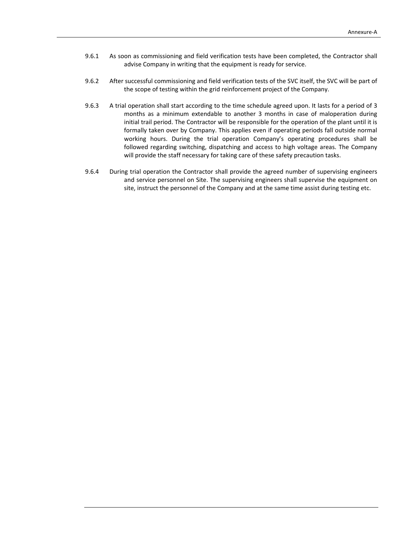- 9.6.1 As soon as commissioning and field verification tests have been completed, the Contractor shall advise Company in writing that the equipment is ready for service.
- 9.6.2 After successful commissioning and field verification tests of the SVC itself, the SVC will be part of the scope of testing within the grid reinforcement project of the Company.
- 9.6.3 A trial operation shall start according to the time schedule agreed upon. It lasts for a period of 3 months as a minimum extendable to another 3 months in case of maloperation during initial trail period. The Contractor will be responsible for the operation of the plant until it is formally taken over by Company. This applies even if operating periods fall outside normal working hours. During the trial operation Company's operating procedures shall be followed regarding switching, dispatching and access to high voltage areas. The Company will provide the staff necessary for taking care of these safety precaution tasks.
- 9.6.4 During trial operation the Contractor shall provide the agreed number of supervising engineers and service personnel on Site. The supervising engineers shall supervise the equipment on site, instruct the personnel of the Company and at the same time assist during testing etc.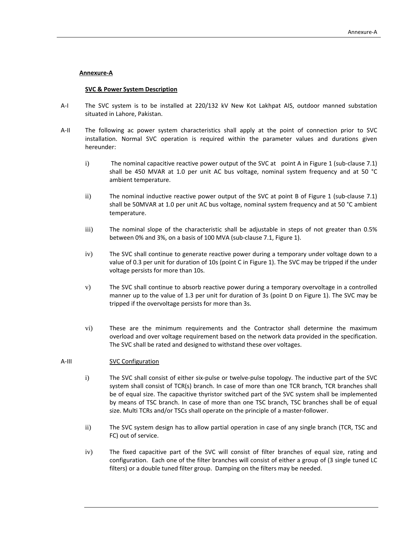## **Annexure‐A**

#### **SVC & Power System Description**

- A-I The SVC system is to be installed at 220/132 kV New Kot Lakhpat AIS, outdoor manned substation situated in Lahore, Pakistan.
- A‐II The following ac power system characteristics shall apply at the point of connection prior to SVC installation. Normal SVC operation is required within the parameter values and durations given hereunder:
	- i) The nominal capacitive reactive power output of the SVC at point A in Figure 1 (sub-clause 7.1) shall be 450 MVAR at 1.0 per unit AC bus voltage, nominal system frequency and at 50 °C ambient temperature.
	- ii) The nominal inductive reactive power output of the SVC at point B of Figure 1 (sub‐clause 7.1) shall be 50MVAR at 1.0 per unit AC bus voltage, nominal system frequency and at 50 °C ambient temperature.
	- iii) The nominal slope of the characteristic shall be adjustable in steps of not greater than 0.5% between 0% and 3%, on a basis of 100 MVA (sub‐clause 7.1, Figure 1).
	- iv) The SVC shall continue to generate reactive power during a temporary under voltage down to a value of 0.3 per unit for duration of 10s (point C in Figure 1). The SVC may be tripped if the under voltage persists for more than 10s.
	- v) The SVC shall continue to absorb reactive power during a temporary overvoltage in a controlled manner up to the value of 1.3 per unit for duration of 3s (point D on Figure 1). The SVC may be tripped if the overvoltage persists for more than 3s.
	- vi) These are the minimum requirements and the Contractor shall determine the maximum overload and over voltage requirement based on the network data provided in the specification. The SVC shall be rated and designed to withstand these over voltages.

#### A-III SVC Configuration

- i) The SVC shall consist of either six-pulse or twelve-pulse topology. The inductive part of the SVC system shall consist of TCR(s) branch. In case of more than one TCR branch, TCR branches shall be of equal size. The capacitive thyristor switched part of the SVC system shall be implemented by means of TSC branch. In case of more than one TSC branch, TSC branches shall be of equal size. Multi TCRs and/or TSCs shall operate on the principle of a master-follower.
- ii) The SVC system design has to allow partial operation in case of any single branch (TCR, TSC and FC) out of service.
- iv) The fixed capacitive part of the SVC will consist of filter branches of equal size, rating and configuration. Each one of the filter branches will consist of either a group of (3 single tuned LC filters) or a double tuned filter group. Damping on the filters may be needed.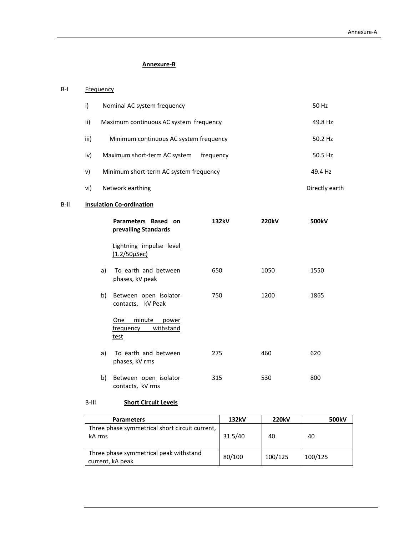# **Annexure‐B**

# B-I Frequency

| i)   | Nominal AC system frequency               | 50 Hz          |
|------|-------------------------------------------|----------------|
| ii)  | Maximum continuous AC system frequency    | 49.8 Hz        |
| iii) | Minimum continuous AC system frequency    | 50.2 Hz        |
| iv)  | Maximum short-term AC system<br>frequency | 50.5 Hz        |
| v)   | Minimum short-term AC system frequency    | 49.4 Hz        |
| vi)  | Network earthing                          | Directly earth |

# B‐II **Insulation Co‐ordination**

|    | Parameters Based on<br>prevailing Standards              | 132kV | <b>220kV</b> | 500kV |
|----|----------------------------------------------------------|-------|--------------|-------|
|    | Lightning impulse level<br>$(1.2/50 \mu$ Sec)            |       |              |       |
| a) | To earth and between<br>phases, kV peak                  | 650   | 1050         | 1550  |
| b) | Between open isolator<br>contacts, kV Peak               | 750   | 1200         | 1865  |
|    | minute<br>One<br>power<br>withstand<br>frequency<br>test |       |              |       |
| a) | To earth and between<br>phases, kV rms                   | 275   | 460          | 620   |
| b) | Between open isolator<br>contacts, kV rms                | 315   | 530          | 800   |

# B‐III **Short Circuit Levels**

| <b>Parameters</b>                                          | 132kV   | <b>220kV</b> | 500kV   |
|------------------------------------------------------------|---------|--------------|---------|
| Three phase symmetrical short circuit current,<br>kA rms   | 31.5/40 | 40           | 40      |
| Three phase symmetrical peak withstand<br>current, kA peak | 80/100  | 100/125      | 100/125 |